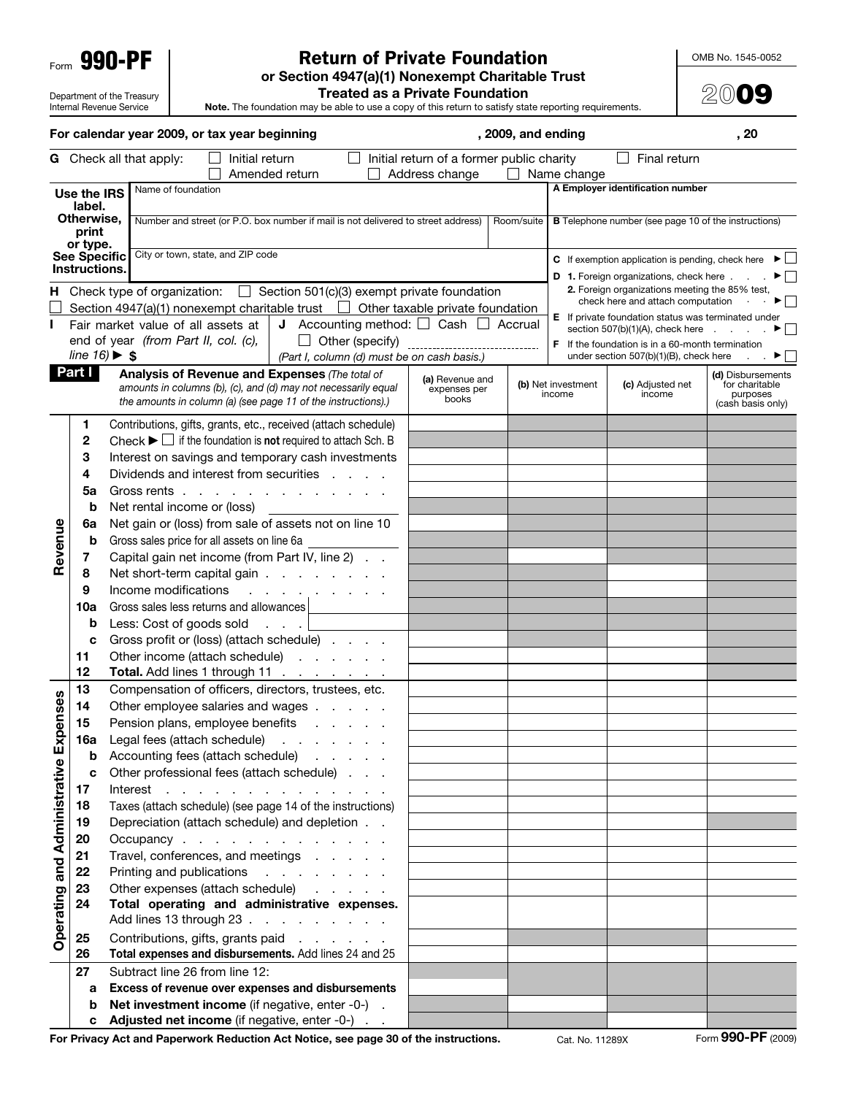Form 990-PF

Department of the Treasury Internal Revenue Service

## Return of Private Foundation

**or Section 4947(a)(1) Nonexempt Charitable Trust** 

OMB No. 1545-0052

**20**09

**Treated as a Private Foundation**

**Note.** The foundation may be able to use a copy of this return to satisfy state reporting requirements.

|                    |                                      |          | For calendar year 2009, or tax year beginning                                                        |                |                                         |                 |                                                                                         | , 2009, and ending |                    |                                                                                                     | , 20                                |
|--------------------|--------------------------------------|----------|------------------------------------------------------------------------------------------------------|----------------|-----------------------------------------|-----------------|-----------------------------------------------------------------------------------------|--------------------|--------------------|-----------------------------------------------------------------------------------------------------|-------------------------------------|
|                    |                                      |          | <b>G</b> Check all that apply:                                                                       | Initial return | Amended return                          |                 | Initial return of a former public charity<br>Address change                             | $\blacksquare$     | Name change        | Final return                                                                                        |                                     |
|                    | Use the IRS                          |          | Name of foundation                                                                                   |                |                                         |                 |                                                                                         |                    |                    | A Employer identification number                                                                    |                                     |
|                    | label.                               |          |                                                                                                      |                |                                         |                 |                                                                                         |                    |                    |                                                                                                     |                                     |
|                    | Otherwise.<br>print<br>or type.      |          | Number and street (or P.O. box number if mail is not delivered to street address)                    |                |                                         |                 |                                                                                         | Room/suite         |                    | <b>B</b> Telephone number (see page 10 of the instructions)                                         |                                     |
|                    | See Specific                         |          | City or town, state, and ZIP code                                                                    |                |                                         |                 |                                                                                         |                    |                    | <b>C</b> If exemption application is pending, check here $\blacktriangleright \Box$                 |                                     |
|                    | Instructions.                        |          |                                                                                                      |                |                                         |                 |                                                                                         |                    |                    | <b>D</b> 1. Foreign organizations, check here                                                       | $\blacktriangleright$ $\vdash$      |
|                    |                                      |          |                                                                                                      |                |                                         |                 | <b>H</b> Check type of organization: $\Box$ Section 501(c)(3) exempt private foundation |                    |                    | 2. Foreign organizations meeting the 85% test,                                                      |                                     |
|                    |                                      |          |                                                                                                      |                |                                         |                 | Section 4947(a)(1) nonexempt charitable trust $\Box$ Other taxable private foundation   |                    |                    | check here and attach computation                                                                   |                                     |
|                    |                                      |          | Fair market value of all assets at                                                                   |                |                                         |                 | <b>J</b> Accounting method: $\Box$ Cash $\Box$                                          | Accrual            |                    | E If private foundation status was terminated under<br>section $507(b)(1)(A)$ , check here $\ldots$ |                                     |
|                    |                                      |          | end of year (from Part II, col. (c),                                                                 |                | $\Box$                                  | Other (specify) |                                                                                         |                    |                    | <b>F</b> If the foundation is in a 60-month termination                                             |                                     |
|                    | line $16$ ) $\blacktriangleright$ \$ |          |                                                                                                      |                |                                         |                 | (Part I, column (d) must be on cash basis.)                                             |                    |                    | under section 507(b)(1)(B), check here                                                              |                                     |
|                    | Part I                               |          | <b>Analysis of Revenue and Expenses (The total of</b>                                                |                |                                         |                 | (a) Revenue and                                                                         |                    | (b) Net investment | (c) Adjusted net                                                                                    | (d) Disbursements<br>for charitable |
|                    |                                      |          | amounts in columns (b), (c), and (d) may not necessarily equal                                       |                |                                         |                 | expenses per<br>books                                                                   |                    | income             | income                                                                                              | purposes                            |
|                    |                                      |          | the amounts in column (a) (see page 11 of the instructions).)                                        |                |                                         |                 |                                                                                         |                    |                    |                                                                                                     | (cash basis only)                   |
|                    | 1                                    |          | Contributions, gifts, grants, etc., received (attach schedule)                                       |                |                                         |                 |                                                                                         |                    |                    |                                                                                                     |                                     |
|                    | 2                                    |          | Check $\blacktriangleright$ $\Box$ if the foundation is <b>not</b> required to attach Sch. B         |                |                                         |                 |                                                                                         |                    |                    |                                                                                                     |                                     |
|                    | 3                                    |          | Interest on savings and temporary cash investments                                                   |                |                                         |                 |                                                                                         |                    |                    |                                                                                                     |                                     |
|                    | 4                                    |          | Dividends and interest from securities                                                               |                |                                         |                 |                                                                                         |                    |                    |                                                                                                     |                                     |
|                    | 5a                                   |          | Gross rents                                                                                          |                |                                         |                 |                                                                                         |                    |                    |                                                                                                     |                                     |
|                    | b                                    |          | Net rental income or (loss)                                                                          |                |                                         |                 |                                                                                         |                    |                    |                                                                                                     |                                     |
|                    | 6а<br>b                              |          | Net gain or (loss) from sale of assets not on line 10<br>Gross sales price for all assets on line 6a |                |                                         |                 |                                                                                         |                    |                    |                                                                                                     |                                     |
| Revenue            | 7                                    |          | Capital gain net income (from Part IV, line 2)                                                       |                |                                         |                 |                                                                                         |                    |                    |                                                                                                     |                                     |
|                    | 8                                    |          | Net short-term capital gain                                                                          |                |                                         |                 |                                                                                         |                    |                    |                                                                                                     |                                     |
|                    | 9                                    |          | Income modifications                                                                                 |                | and the company of the company of the   |                 |                                                                                         |                    |                    |                                                                                                     |                                     |
|                    | 10a                                  |          | Gross sales less returns and allowances                                                              |                |                                         |                 |                                                                                         |                    |                    |                                                                                                     |                                     |
|                    | $\mathbf b$                          |          | Less: Cost of goods sold                                                                             |                |                                         |                 |                                                                                         |                    |                    |                                                                                                     |                                     |
|                    | c                                    |          | Gross profit or (loss) (attach schedule)                                                             |                |                                         |                 |                                                                                         |                    |                    |                                                                                                     |                                     |
|                    | 11                                   |          | Other income (attach schedule)                                                                       |                |                                         |                 |                                                                                         |                    |                    |                                                                                                     |                                     |
|                    | 12                                   |          | Total. Add lines 1 through 11                                                                        |                |                                         |                 |                                                                                         |                    |                    |                                                                                                     |                                     |
|                    | 13                                   |          | Compensation of officers, directors, trustees, etc.                                                  |                |                                         |                 |                                                                                         |                    |                    |                                                                                                     |                                     |
| kpenses            | 14                                   |          | Other employee salaries and wages                                                                    |                |                                         |                 |                                                                                         |                    |                    |                                                                                                     |                                     |
|                    | 15                                   |          | Pension plans, employee benefits                                                                     |                |                                         | and the company |                                                                                         |                    |                    |                                                                                                     |                                     |
| ш                  | 16a                                  |          | Legal fees (attach schedule)                                                                         |                |                                         |                 |                                                                                         |                    |                    |                                                                                                     |                                     |
|                    | b                                    |          | Accounting fees (attach schedule)                                                                    |                | <b>Contractor</b>                       |                 |                                                                                         |                    |                    |                                                                                                     |                                     |
| and Administrative | C                                    |          | Other professional fees (attach schedule)                                                            |                |                                         |                 |                                                                                         |                    |                    |                                                                                                     |                                     |
|                    | 17                                   | Interest |                                                                                                      |                | and the contract of the contract of the |                 |                                                                                         |                    |                    |                                                                                                     |                                     |
|                    | 18                                   |          | Taxes (attach schedule) (see page 14 of the instructions)                                            |                |                                         |                 |                                                                                         |                    |                    |                                                                                                     |                                     |
|                    | 19<br>20                             |          | Depreciation (attach schedule) and depletion<br>Occupancy                                            |                |                                         |                 |                                                                                         |                    |                    |                                                                                                     |                                     |
|                    | 21                                   |          | Travel, conferences, and meetings                                                                    |                |                                         |                 |                                                                                         |                    |                    |                                                                                                     |                                     |
|                    | 22                                   |          | Printing and publications                                                                            |                | and a straight and a                    |                 |                                                                                         |                    |                    |                                                                                                     |                                     |
|                    | 23                                   |          | Other expenses (attach schedule)                                                                     |                |                                         |                 |                                                                                         |                    |                    |                                                                                                     |                                     |
| Operating          | 24                                   |          | Total operating and administrative expenses.<br>Add lines 13 through 23                              |                |                                         |                 |                                                                                         |                    |                    |                                                                                                     |                                     |
|                    | 25                                   |          | Contributions, gifts, grants paid                                                                    |                |                                         |                 |                                                                                         |                    |                    |                                                                                                     |                                     |
|                    | 26                                   |          | Total expenses and disbursements. Add lines 24 and 25                                                |                |                                         |                 |                                                                                         |                    |                    |                                                                                                     |                                     |
|                    | 27                                   |          | Subtract line 26 from line 12:                                                                       |                |                                         |                 |                                                                                         |                    |                    |                                                                                                     |                                     |
|                    | а                                    |          | Excess of revenue over expenses and disbursements                                                    |                |                                         |                 |                                                                                         |                    |                    |                                                                                                     |                                     |
|                    | b                                    |          | Net investment income (if negative, enter -0-)                                                       |                |                                         |                 |                                                                                         |                    |                    |                                                                                                     |                                     |
|                    | c                                    |          | Adjusted net income (if negative, enter -0-)                                                         |                |                                         |                 |                                                                                         |                    |                    |                                                                                                     |                                     |

**For Privacy Act and Paperwork Reduction Act Notice, see page 30 of the instructions.** Cat. No. 11289X Form 990-PF (2009)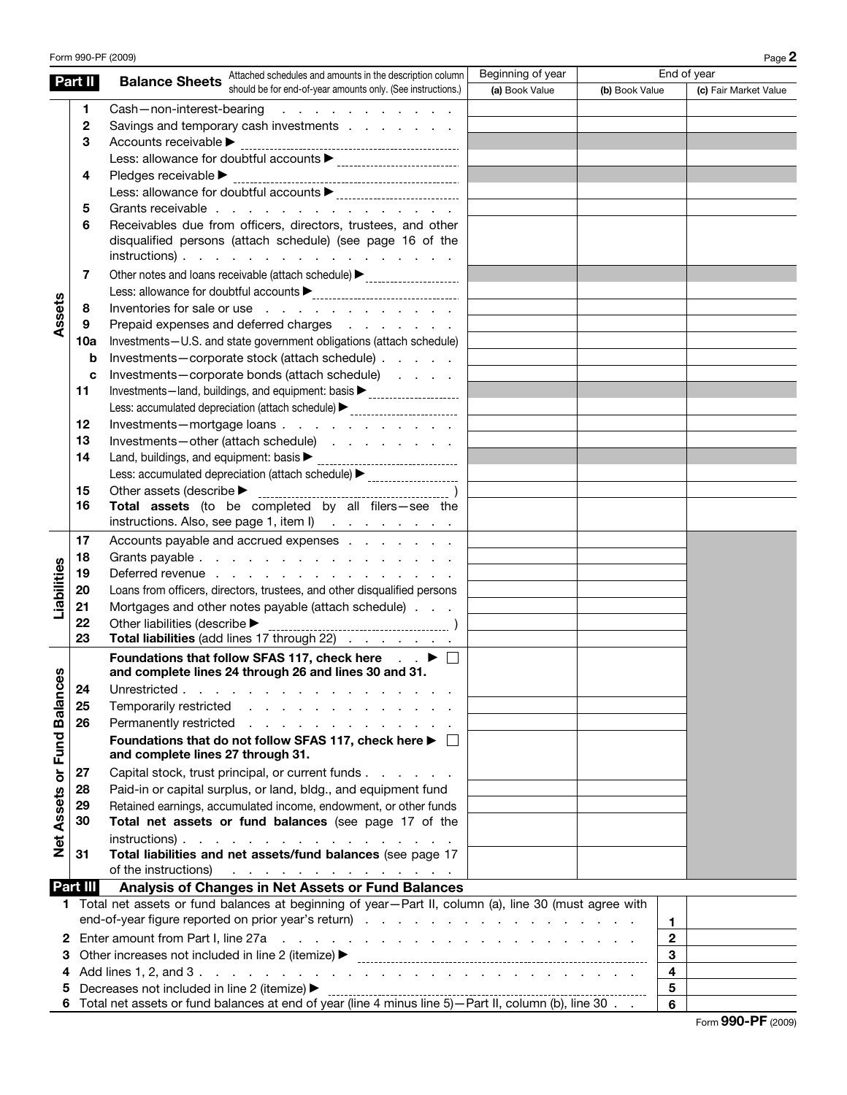|                             |                                                                                                                                                                                                                                                   | Form 990-PF (2009)                                                                                                                                           |                   |                | Page 2                |  |
|-----------------------------|---------------------------------------------------------------------------------------------------------------------------------------------------------------------------------------------------------------------------------------------------|--------------------------------------------------------------------------------------------------------------------------------------------------------------|-------------------|----------------|-----------------------|--|
|                             | Part II                                                                                                                                                                                                                                           | Attached schedules and amounts in the description column<br><b>Balance Sheets</b>                                                                            | Beginning of year |                | End of year           |  |
|                             |                                                                                                                                                                                                                                                   | should be for end-of-year amounts only. (See instructions.)                                                                                                  | (a) Book Value    | (b) Book Value | (c) Fair Market Value |  |
|                             | 1                                                                                                                                                                                                                                                 | Cash-non-interest-bearing<br>the contract of the contract of the                                                                                             |                   |                |                       |  |
|                             | $\mathbf{2}$                                                                                                                                                                                                                                      | Savings and temporary cash investments                                                                                                                       |                   |                |                       |  |
|                             | 3                                                                                                                                                                                                                                                 |                                                                                                                                                              |                   |                |                       |  |
|                             |                                                                                                                                                                                                                                                   |                                                                                                                                                              |                   |                |                       |  |
|                             | 4                                                                                                                                                                                                                                                 |                                                                                                                                                              |                   |                |                       |  |
|                             |                                                                                                                                                                                                                                                   |                                                                                                                                                              |                   |                |                       |  |
|                             | 5                                                                                                                                                                                                                                                 | Grants receivable                                                                                                                                            |                   |                |                       |  |
|                             | 6                                                                                                                                                                                                                                                 | Receivables due from officers, directors, trustees, and other                                                                                                |                   |                |                       |  |
|                             |                                                                                                                                                                                                                                                   | disqualified persons (attach schedule) (see page 16 of the<br>$instructions)$ .                                                                              |                   |                |                       |  |
|                             |                                                                                                                                                                                                                                                   |                                                                                                                                                              |                   |                |                       |  |
|                             | 7                                                                                                                                                                                                                                                 | Other notes and loans receivable (attach schedule) > ___________________________                                                                             |                   |                |                       |  |
|                             |                                                                                                                                                                                                                                                   |                                                                                                                                                              |                   |                |                       |  |
| Assets                      | 8                                                                                                                                                                                                                                                 | Inventories for sale or use                                                                                                                                  |                   |                |                       |  |
|                             | 9                                                                                                                                                                                                                                                 | Prepaid expenses and deferred charges                                                                                                                        |                   |                |                       |  |
|                             | 10a                                                                                                                                                                                                                                               | Investments-U.S. and state government obligations (attach schedule)                                                                                          |                   |                |                       |  |
|                             | b                                                                                                                                                                                                                                                 | Investments-corporate stock (attach schedule)                                                                                                                |                   |                |                       |  |
|                             | c                                                                                                                                                                                                                                                 | Investments-corporate bonds (attach schedule)<br>Investments-land, buildings, and equipment: basis<br>                                                       |                   |                |                       |  |
|                             | 11                                                                                                                                                                                                                                                | Less: accumulated depreciation (attach schedule) > _____________________________                                                                             |                   |                |                       |  |
|                             | 12                                                                                                                                                                                                                                                | Investments-mortgage loans                                                                                                                                   |                   |                |                       |  |
|                             | 13                                                                                                                                                                                                                                                | Investments-other (attach schedule)                                                                                                                          |                   |                |                       |  |
|                             | 14                                                                                                                                                                                                                                                | Land, buildings, and equipment: basis > contain contained and hall and hand, buildings, and equipment:                                                       |                   |                |                       |  |
|                             |                                                                                                                                                                                                                                                   | Less: accumulated depreciation (attach schedule) > _____________________________                                                                             |                   |                |                       |  |
|                             | 15                                                                                                                                                                                                                                                |                                                                                                                                                              |                   |                |                       |  |
|                             | 16                                                                                                                                                                                                                                                | Total assets (to be completed by all filers-see the                                                                                                          |                   |                |                       |  |
|                             |                                                                                                                                                                                                                                                   | instructions. Also, see page 1, item l)                                                                                                                      |                   |                |                       |  |
|                             | 17                                                                                                                                                                                                                                                | Accounts payable and accrued expenses                                                                                                                        |                   |                |                       |  |
|                             | 18                                                                                                                                                                                                                                                | Grants payable                                                                                                                                               |                   |                |                       |  |
|                             | 19                                                                                                                                                                                                                                                | Deferred revenue                                                                                                                                             |                   |                |                       |  |
|                             | 20                                                                                                                                                                                                                                                | Loans from officers, directors, trustees, and other disqualified persons                                                                                     |                   |                |                       |  |
| Liabilities                 | 21                                                                                                                                                                                                                                                | Mortgages and other notes payable (attach schedule)                                                                                                          |                   |                |                       |  |
|                             | 22                                                                                                                                                                                                                                                | Other liabilities (describe $\blacktriangleright$                                                                                                            |                   |                |                       |  |
|                             | 23                                                                                                                                                                                                                                                | Total liabilities (add lines 17 through 22)                                                                                                                  |                   |                |                       |  |
|                             |                                                                                                                                                                                                                                                   | Foundations that follow SFAS 117, check here $\Box$ $\blacktriangleright$ $\Box$                                                                             |                   |                |                       |  |
|                             |                                                                                                                                                                                                                                                   | and complete lines 24 through 26 and lines 30 and 31.                                                                                                        |                   |                |                       |  |
|                             | 24                                                                                                                                                                                                                                                | Unrestricted                                                                                                                                                 |                   |                |                       |  |
|                             | 25                                                                                                                                                                                                                                                | Temporarily restricted                                                                                                                                       |                   |                |                       |  |
|                             | 26                                                                                                                                                                                                                                                | Permanently restricted                                                                                                                                       |                   |                |                       |  |
|                             |                                                                                                                                                                                                                                                   | Foundations that do not follow SFAS 117, check here ▶ □                                                                                                      |                   |                |                       |  |
|                             |                                                                                                                                                                                                                                                   | and complete lines 27 through 31.                                                                                                                            |                   |                |                       |  |
| Net Assets or Fund Balances | 27                                                                                                                                                                                                                                                | Capital stock, trust principal, or current funds                                                                                                             |                   |                |                       |  |
|                             | 28                                                                                                                                                                                                                                                | Paid-in or capital surplus, or land, bldg., and equipment fund                                                                                               |                   |                |                       |  |
|                             | 29                                                                                                                                                                                                                                                | Retained earnings, accumulated income, endowment, or other funds                                                                                             |                   |                |                       |  |
|                             | 30                                                                                                                                                                                                                                                | Total net assets or fund balances (see page 17 of the                                                                                                        |                   |                |                       |  |
|                             |                                                                                                                                                                                                                                                   | $instructions)$ .                                                                                                                                            |                   |                |                       |  |
|                             | 31                                                                                                                                                                                                                                                | Total liabilities and net assets/fund balances (see page 17                                                                                                  |                   |                |                       |  |
|                             |                                                                                                                                                                                                                                                   | of the instructions) $\cdots$ $\cdots$ $\cdots$ $\cdots$ $\cdots$                                                                                            |                   |                |                       |  |
|                             | Part III                                                                                                                                                                                                                                          | Analysis of Changes in Net Assets or Fund Balances<br>1 Total net assets or fund balances at beginning of year-Part II, column (a), line 30 (must agree with |                   |                |                       |  |
|                             |                                                                                                                                                                                                                                                   |                                                                                                                                                              |                   |                |                       |  |
|                             |                                                                                                                                                                                                                                                   |                                                                                                                                                              |                   |                | 1.                    |  |
| 2                           |                                                                                                                                                                                                                                                   |                                                                                                                                                              |                   |                | $\mathbf{2}$<br>3     |  |
| З                           |                                                                                                                                                                                                                                                   |                                                                                                                                                              |                   |                | $\overline{4}$        |  |
|                             |                                                                                                                                                                                                                                                   | Decreases not included in line 2 (itemize) ▶                                                                                                                 |                   |                | 5                     |  |
|                             | 5 Decreases not included in line 2 (itemize) <b>Decrease and Conferent Conferent Conference Conference Conference</b><br>6 Total net assets or fund balances at end of year (line 4 minus line 5)—Part II, column (b), line 30<br>$6\overline{6}$ |                                                                                                                                                              |                   |                |                       |  |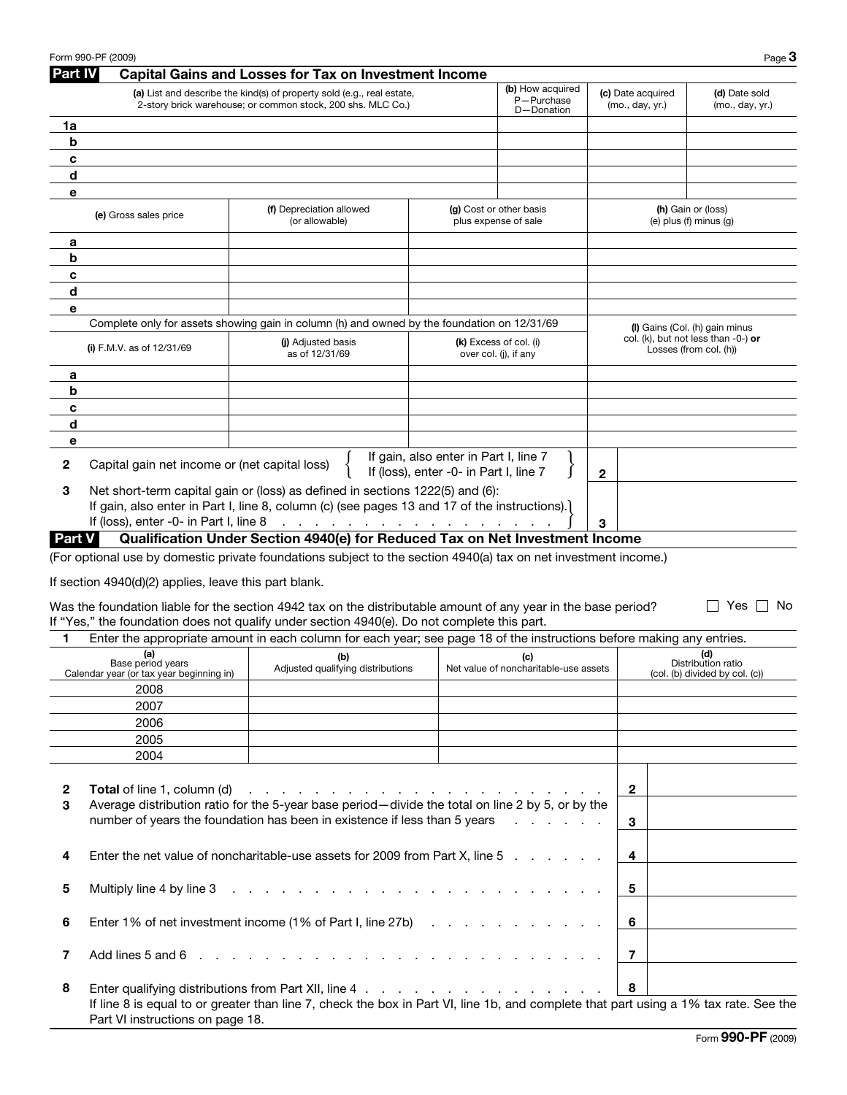|                | Form 990-PF (2009)                                            |                                                                                                                                                                                                                                |                                                                                 |                                                 |                                      | Page 3                                                                   |
|----------------|---------------------------------------------------------------|--------------------------------------------------------------------------------------------------------------------------------------------------------------------------------------------------------------------------------|---------------------------------------------------------------------------------|-------------------------------------------------|--------------------------------------|--------------------------------------------------------------------------|
| <b>Part IV</b> |                                                               | <b>Capital Gains and Losses for Tax on Investment Income</b>                                                                                                                                                                   |                                                                                 |                                                 |                                      |                                                                          |
|                |                                                               | (a) List and describe the kind(s) of property sold (e.g., real estate,<br>2-story brick warehouse; or common stock, 200 shs. MLC Co.)                                                                                          |                                                                                 | (b) How acquired<br>P-Purchase<br>D-Donation    | (c) Date acquired<br>(mo., day, yr.) | (d) Date sold<br>(mo., day, yr.)                                         |
| 1a             |                                                               |                                                                                                                                                                                                                                |                                                                                 |                                                 |                                      |                                                                          |
| b              |                                                               |                                                                                                                                                                                                                                |                                                                                 |                                                 |                                      |                                                                          |
| c              |                                                               |                                                                                                                                                                                                                                |                                                                                 |                                                 |                                      |                                                                          |
| d              |                                                               |                                                                                                                                                                                                                                |                                                                                 |                                                 |                                      |                                                                          |
| е              |                                                               |                                                                                                                                                                                                                                |                                                                                 |                                                 |                                      |                                                                          |
|                | (e) Gross sales price                                         | (f) Depreciation allowed<br>(or allowable)                                                                                                                                                                                     |                                                                                 | (g) Cost or other basis<br>plus expense of sale |                                      | (h) Gain or (loss)<br>(e) $plus(f)$ minus $(g)$                          |
| а              |                                                               |                                                                                                                                                                                                                                |                                                                                 |                                                 |                                      |                                                                          |
| b              |                                                               |                                                                                                                                                                                                                                |                                                                                 |                                                 |                                      |                                                                          |
| c              |                                                               |                                                                                                                                                                                                                                |                                                                                 |                                                 |                                      |                                                                          |
| d              |                                                               |                                                                                                                                                                                                                                |                                                                                 |                                                 |                                      |                                                                          |
| е              |                                                               |                                                                                                                                                                                                                                |                                                                                 |                                                 |                                      |                                                                          |
|                |                                                               | Complete only for assets showing gain in column (h) and owned by the foundation on 12/31/69                                                                                                                                    |                                                                                 |                                                 |                                      |                                                                          |
|                |                                                               |                                                                                                                                                                                                                                |                                                                                 | (k) Excess of col. (i)                          |                                      | (I) Gains (Col. (h) gain minus<br>col. (k), but not less than $-0$ -) or |
|                | (i) F.M.V. as of $12/31/69$                                   | (i) Adjusted basis<br>as of 12/31/69                                                                                                                                                                                           |                                                                                 | over col. (j), if any                           |                                      | Losses (from col. (h))                                                   |
| а              |                                                               |                                                                                                                                                                                                                                |                                                                                 |                                                 |                                      |                                                                          |
| b              |                                                               |                                                                                                                                                                                                                                |                                                                                 |                                                 |                                      |                                                                          |
| c              |                                                               |                                                                                                                                                                                                                                |                                                                                 |                                                 |                                      |                                                                          |
| d              |                                                               |                                                                                                                                                                                                                                |                                                                                 |                                                 |                                      |                                                                          |
| е              |                                                               |                                                                                                                                                                                                                                |                                                                                 |                                                 |                                      |                                                                          |
| $\mathbf{2}$   | Capital gain net income or (net capital loss)                 |                                                                                                                                                                                                                                | If gain, also enter in Part I, line 7<br>If (loss), enter -0- in Part I, line 7 |                                                 | 2                                    |                                                                          |
| 3              |                                                               | Net short-term capital gain or (loss) as defined in sections 1222(5) and (6):<br>If gain, also enter in Part I, line 8, column (c) (see pages 13 and 17 of the instructions).                                                  |                                                                                 |                                                 |                                      |                                                                          |
|                | If (loss), enter -0- in Part I, line 8                        | والمتعاون والمتعاون والمتعاون والمتعاون والمتعاون والمتعاون والمناوب                                                                                                                                                           |                                                                                 |                                                 | 3                                    |                                                                          |
| <b>Part V</b>  |                                                               | Qualification Under Section 4940(e) for Reduced Tax on Net Investment Income                                                                                                                                                   |                                                                                 |                                                 |                                      |                                                                          |
|                |                                                               | (For optional use by domestic private foundations subject to the section 4940(a) tax on net investment income.)                                                                                                                |                                                                                 |                                                 |                                      |                                                                          |
|                | If section 4940(d)(2) applies, leave this part blank.         |                                                                                                                                                                                                                                |                                                                                 |                                                 |                                      |                                                                          |
|                |                                                               | Was the foundation liable for the section 4942 tax on the distributable amount of any year in the base period?<br>If "Yes," the foundation does not qualify under section 4940(e). Do not complete this part.                  |                                                                                 |                                                 |                                      | Yes $  $<br>No.                                                          |
| 1              |                                                               | Enter the appropriate amount in each column for each year; see page 18 of the instructions before making any entries.                                                                                                          |                                                                                 |                                                 |                                      |                                                                          |
|                | (a)                                                           | (b)                                                                                                                                                                                                                            |                                                                                 | (c)                                             |                                      | (d)                                                                      |
|                | Base period years<br>Calendar year (or tax year beginning in) | Adjusted qualifying distributions                                                                                                                                                                                              |                                                                                 | Net value of noncharitable-use assets           |                                      | Distribution ratio<br>(col. (b) divided by col. (c))                     |
|                | 2008                                                          |                                                                                                                                                                                                                                |                                                                                 |                                                 |                                      |                                                                          |
|                | 2007                                                          |                                                                                                                                                                                                                                |                                                                                 |                                                 |                                      |                                                                          |
|                | 2006                                                          |                                                                                                                                                                                                                                |                                                                                 |                                                 |                                      |                                                                          |
|                | 2005                                                          |                                                                                                                                                                                                                                |                                                                                 |                                                 |                                      |                                                                          |
|                | 2004                                                          |                                                                                                                                                                                                                                |                                                                                 |                                                 |                                      |                                                                          |
| $\mathbf{2}$   | <b>Total</b> of line 1, column (d)                            | and the contract of the contract of the contract of the contract of                                                                                                                                                            |                                                                                 |                                                 | $\overline{2}$                       |                                                                          |
| 3              |                                                               | Average distribution ratio for the 5-year base period-divide the total on line 2 by 5, or by the<br>number of years the foundation has been in existence if less than 5 years                                                  |                                                                                 | and the state of the state of the               | 3                                    |                                                                          |
|                |                                                               |                                                                                                                                                                                                                                |                                                                                 |                                                 |                                      |                                                                          |
| 4              |                                                               | Enter the net value of noncharitable-use assets for 2009 from Part X, line 5                                                                                                                                                   |                                                                                 |                                                 | 4                                    |                                                                          |
| 5              | Multiply line 4 by line 3                                     |                                                                                                                                                                                                                                |                                                                                 |                                                 | 5                                    |                                                                          |
| 6              |                                                               | Enter 1% of net investment income (1% of Part I, line 27b)                                                                                                                                                                     |                                                                                 |                                                 | 6                                    |                                                                          |
| 7              | Add lines 5 and 6                                             | and the contract of the contract of the contract of the contract of the contract of the contract of the contract of the contract of the contract of the contract of the contract of the contract of the contract of the contra |                                                                                 |                                                 | 7                                    |                                                                          |
| 8              |                                                               | Enter qualifying distributions from Part XII, line 4                                                                                                                                                                           |                                                                                 |                                                 | 8                                    |                                                                          |
|                | Part VI instructions on page 18.                              | If line 8 is equal to or greater than line 7, check the box in Part VI, line 1b, and complete that part using a 1% tax rate. See the                                                                                           |                                                                                 |                                                 |                                      |                                                                          |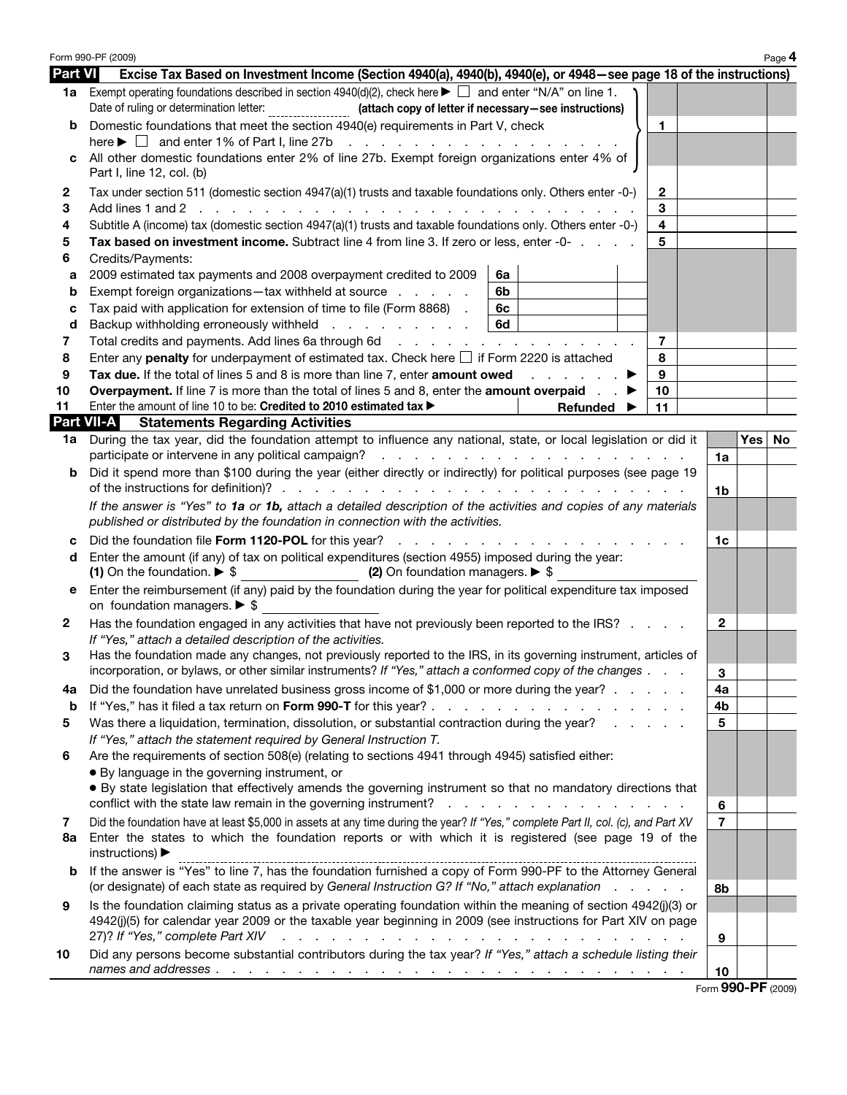|                   | Form 990-PF (2009)                                                                                                                                                                                                                                          |                |                  | Page 4 |  |  |
|-------------------|-------------------------------------------------------------------------------------------------------------------------------------------------------------------------------------------------------------------------------------------------------------|----------------|------------------|--------|--|--|
| <b>Part VI</b>    | Excise Tax Based on Investment Income (Section 4940(a), 4940(b), 4940(e), or 4948–see page 18 of the instructions)                                                                                                                                          |                |                  |        |  |  |
|                   | <b>1a</b> Exempt operating foundations described in section 4940(d)(2), check here $\blacktriangleright \Box$ and enter "N/A" on line 1.<br>Date of ruling or determination letter:                                                                         |                |                  |        |  |  |
|                   | Domestic foundations that meet the section 4940(e) requirements in Part V, check<br>1                                                                                                                                                                       |                |                  |        |  |  |
|                   | here $\blacktriangleright \Box$ and enter 1% of Part I, line 27b<br>and the contract of the contract of the                                                                                                                                                 |                |                  |        |  |  |
| c                 | All other domestic foundations enter 2% of line 27b. Exempt foreign organizations enter 4% of<br>Part I, line 12, col. (b)                                                                                                                                  |                |                  |        |  |  |
| 2                 | $\mathbf{2}$<br>Tax under section 511 (domestic section 4947(a)(1) trusts and taxable foundations only. Others enter -0-)                                                                                                                                   |                |                  |        |  |  |
| З                 | 3                                                                                                                                                                                                                                                           |                |                  |        |  |  |
| 4                 | $\overline{\mathbf{4}}$<br>Subtitle A (income) tax (domestic section 4947(a)(1) trusts and taxable foundations only. Others enter -0-)                                                                                                                      |                |                  |        |  |  |
| 5                 | Tax based on investment income. Subtract line 4 from line 3. If zero or less, enter -0-<br>5                                                                                                                                                                |                |                  |        |  |  |
| 6                 | Credits/Payments:                                                                                                                                                                                                                                           |                |                  |        |  |  |
| а                 | 2009 estimated tax payments and 2008 overpayment credited to 2009<br>6a                                                                                                                                                                                     |                |                  |        |  |  |
| b                 | Exempt foreign organizations-tax withheld at source<br>6b                                                                                                                                                                                                   |                |                  |        |  |  |
| с                 | Tax paid with application for extension of time to file (Form 8868).<br>6c                                                                                                                                                                                  |                |                  |        |  |  |
| d                 | 6d<br>Backup withholding erroneously withheld                                                                                                                                                                                                               |                |                  |        |  |  |
| 7                 | 7<br>Total credits and payments. Add lines 6a through 6d                                                                                                                                                                                                    |                |                  |        |  |  |
| 8                 | Enter any <b>penalty</b> for underpayment of estimated tax. Check here $\Box$ if Form 2220 is attached<br>8                                                                                                                                                 |                |                  |        |  |  |
| 9                 | Tax due. If the total of lines 5 and 8 is more than line 7, enter amount owed<br>9<br>and the company of the company                                                                                                                                        |                |                  |        |  |  |
| 10<br>11          | 10<br><b>Overpayment.</b> If line 7 is more than the total of lines 5 and 8, enter the <b>amount overpaid</b> .<br>Enter the amount of line 10 to be: Credited to 2010 estimated tax $\blacktriangleright$<br>11                                            |                |                  |        |  |  |
| <b>Part VII-A</b> | Refunded<br><b>Statements Regarding Activities</b>                                                                                                                                                                                                          |                |                  |        |  |  |
| 1a                | During the tax year, did the foundation attempt to influence any national, state, or local legislation or did it                                                                                                                                            |                | Yes              | No.    |  |  |
|                   | participate or intervene in any political campaign?                                                                                                                                                                                                         | 1a             |                  |        |  |  |
| b                 | Did it spend more than \$100 during the year (either directly or indirectly) for political purposes (see page 19                                                                                                                                            | 1b             |                  |        |  |  |
|                   | If the answer is "Yes" to 1a or 1b, attach a detailed description of the activities and copies of any materials<br>published or distributed by the foundation in connection with the activities.                                                            |                |                  |        |  |  |
|                   | Did the foundation file Form 1120-POL for this year?                                                                                                                                                                                                        |                |                  |        |  |  |
| d                 | Enter the amount (if any) of tax on political expenditures (section 4955) imposed during the year:                                                                                                                                                          |                |                  |        |  |  |
| е                 | (1) On the foundation. $\triangleright$ \$<br>(2) On foundation managers. $\triangleright$ \$<br>Enter the reimbursement (if any) paid by the foundation during the year for political expenditure tax imposed                                              |                |                  |        |  |  |
| 2                 | on foundation managers. $\triangleright$ \$<br>Has the foundation engaged in any activities that have not previously been reported to the IRS?                                                                                                              | $\mathbf{2}$   |                  |        |  |  |
| 3                 | If "Yes," attach a detailed description of the activities.<br>Has the foundation made any changes, not previously reported to the IRS, in its governing instrument, articles of                                                                             |                |                  |        |  |  |
|                   | incorporation, or bylaws, or other similar instruments? If "Yes," attach a conformed copy of the changes                                                                                                                                                    | 3              |                  |        |  |  |
| 4a                | Did the foundation have unrelated business gross income of \$1,000 or more during the year?                                                                                                                                                                 | 4a             |                  |        |  |  |
| b                 | If "Yes," has it filed a tax return on Form 990-T for this year?                                                                                                                                                                                            | 4b             |                  |        |  |  |
| 5                 | Was there a liquidation, termination, dissolution, or substantial contraction during the year?<br>If "Yes," attach the statement required by General Instruction T.                                                                                         | 5              |                  |        |  |  |
| 6                 | Are the requirements of section 508(e) (relating to sections 4941 through 4945) satisfied either:                                                                                                                                                           |                |                  |        |  |  |
|                   | · By language in the governing instrument, or                                                                                                                                                                                                               |                |                  |        |  |  |
|                   | • By state legislation that effectively amends the governing instrument so that no mandatory directions that                                                                                                                                                |                |                  |        |  |  |
|                   | conflict with the state law remain in the governing instrument?<br>the contract of the contract of the contract of the contract of the contract of the contract of the contract of                                                                          | 6              |                  |        |  |  |
| 7<br>8а           | Did the foundation have at least \$5,000 in assets at any time during the year? If "Yes," complete Part II, col. (c), and Part XV<br>Enter the states to which the foundation reports or with which it is registered (see page 19 of the<br>instructions) ▶ | $\overline{7}$ |                  |        |  |  |
| b                 | If the answer is "Yes" to line 7, has the foundation furnished a copy of Form 990-PF to the Attorney General<br>(or designate) of each state as required by General Instruction G? If "No," attach explanation<br>and a state of                            | 8b             |                  |        |  |  |
| 9                 | Is the foundation claiming status as a private operating foundation within the meaning of section 4942(j)(3) or                                                                                                                                             |                |                  |        |  |  |
|                   | 4942(j)(5) for calendar year 2009 or the taxable year beginning in 2009 (see instructions for Part XIV on page                                                                                                                                              |                |                  |        |  |  |
|                   | 27)? If "Yes," complete Part XIV                                                                                                                                                                                                                            | 9              |                  |        |  |  |
| 10                | Did any persons become substantial contributors during the tax year? If "Yes," attach a schedule listing their                                                                                                                                              |                |                  |        |  |  |
|                   |                                                                                                                                                                                                                                                             | 10             |                  |        |  |  |
|                   |                                                                                                                                                                                                                                                             |                | $000$ DE $(0000$ |        |  |  |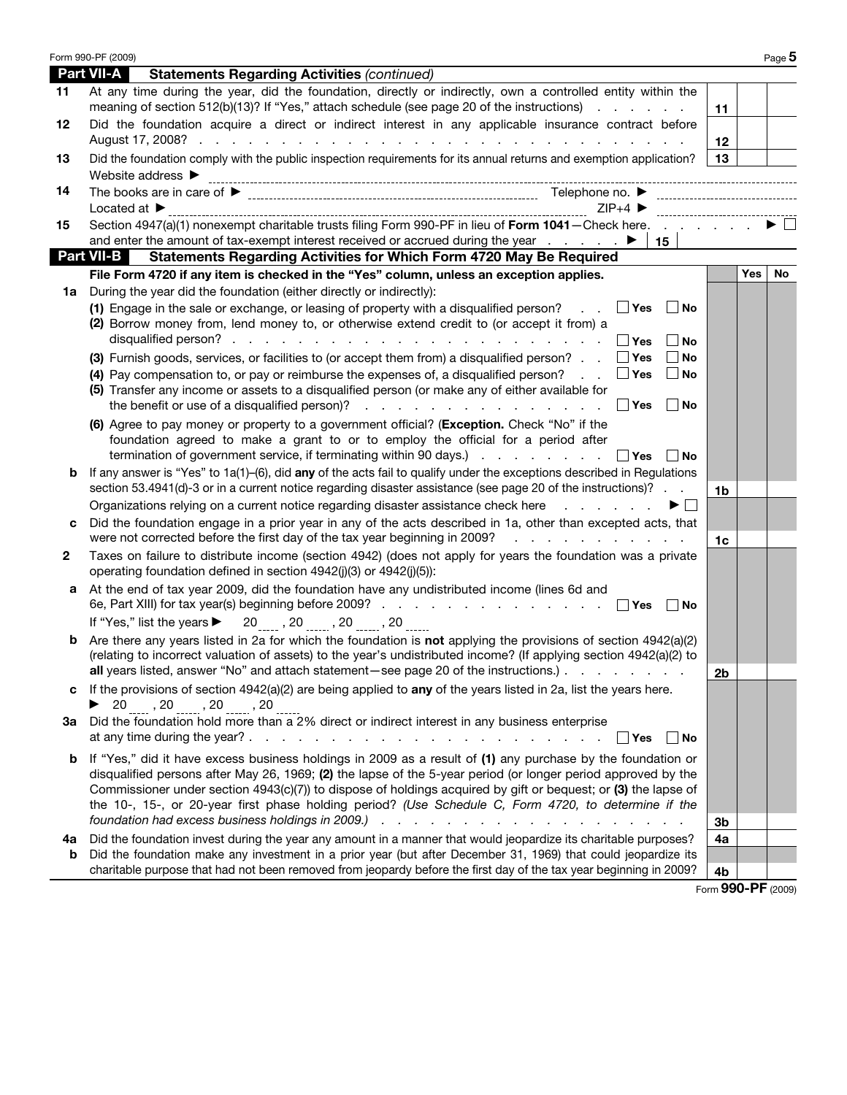| Part VII-A<br><b>Statements Regarding Activities (continued)</b>                                                                                                                                                                                                                                                                                                                                                                                                                                                                            |                                                     |                    |     |           |
|---------------------------------------------------------------------------------------------------------------------------------------------------------------------------------------------------------------------------------------------------------------------------------------------------------------------------------------------------------------------------------------------------------------------------------------------------------------------------------------------------------------------------------------------|-----------------------------------------------------|--------------------|-----|-----------|
| At any time during the year, did the foundation, directly or indirectly, own a controlled entity within the<br>11<br>meaning of section 512(b)(13)? If "Yes," attach schedule (see page 20 of the instructions)                                                                                                                                                                                                                                                                                                                             |                                                     | 11                 |     |           |
| Did the foundation acquire a direct or indirect interest in any applicable insurance contract before<br>12                                                                                                                                                                                                                                                                                                                                                                                                                                  |                                                     | 12                 |     |           |
| Did the foundation comply with the public inspection requirements for its annual returns and exemption application?<br>13                                                                                                                                                                                                                                                                                                                                                                                                                   |                                                     | 13                 |     |           |
| ${\sf Website\,\,address\,\,} \blacktriangleright\,\, \underbrace{\qquad \qquad }_{\qquad \qquad ~~\qquad \qquad ~~\qquad \qquad ~~\qquad \qquad ~~\qquad \qquad ~~\qquad \qquad ~~\qquad \qquad ~~\qquad \qquad ~~\qquad \qquad ~~\qquad \qquad ~~\qquad \qquad ~~\qquad \qquad ~~\qquad \qquad ~~\qquad \qquad ~~\qquad \qquad ~~\qquad \qquad ~~\qquad \qquad ~~\qquad \qquad ~~\qquad \qquad ~~\qquad \qquad ~~\qquad \qquad ~~\qquad \qquad ~~\qquad \qquad ~~\qquad \qquad ~~\qquad \qquad ~~\qquad \qquad ~~\qquad \qquad ~~\$<br>14 |                                                     |                    |     |           |
| Located at $\blacktriangleright$<br>$ZIP+4$                                                                                                                                                                                                                                                                                                                                                                                                                                                                                                 | ---------------------------                         |                    |     |           |
| Section 4947(a)(1) nonexempt charitable trusts filing Form 990-PF in lieu of Form 1041 - Check here.<br>15<br>15                                                                                                                                                                                                                                                                                                                                                                                                                            |                                                     |                    |     |           |
| <b>Part VII-B</b><br>Statements Regarding Activities for Which Form 4720 May Be Required                                                                                                                                                                                                                                                                                                                                                                                                                                                    |                                                     |                    |     |           |
| File Form 4720 if any item is checked in the "Yes" column, unless an exception applies.                                                                                                                                                                                                                                                                                                                                                                                                                                                     |                                                     |                    | Yes | <b>No</b> |
| During the year did the foundation (either directly or indirectly):<br>1a<br>(1) Engage in the sale or exchange, or leasing of property with a disqualified person?<br>$\Box$ Yes<br>(2) Borrow money from, lend money to, or otherwise extend credit to (or accept it from) a                                                                                                                                                                                                                                                              | $\Box$ No                                           |                    |     |           |
| ∣ ∣Yes<br>(3) Furnish goods, services, or facilities to (or accept them from) a disqualified person? $\Box$ Yes<br>(4) Pay compensation to, or pay or reimburse the expenses of, a disqualified person?<br>$\Box$ Yes<br>(5) Transfer any income or assets to a disqualified person (or make any of either available for<br>∣ ∣Yes                                                                                                                                                                                                          | $\Box$ No<br>$\blacksquare$ No<br>$\Box$ No<br>∣ No |                    |     |           |
| (6) Agree to pay money or property to a government official? (Exception. Check "No" if the<br>foundation agreed to make a grant to or to employ the official for a period after<br>termination of government service, if terminating within 90 days.) $\ldots$ $\Box$ Yes                                                                                                                                                                                                                                                                   | ∣ ∣No                                               |                    |     |           |
| If any answer is "Yes" to $1a(1)$ -(6), did any of the acts fail to qualify under the exceptions described in Regulations<br>b<br>section 53.4941(d)-3 or in a current notice regarding disaster assistance (see page 20 of the instructions)?                                                                                                                                                                                                                                                                                              |                                                     | 1b                 |     |           |
| Organizations relying on a current notice regarding disaster assistance check here entitled as a control of the                                                                                                                                                                                                                                                                                                                                                                                                                             | ▶ │ │                                               |                    |     |           |
| Did the foundation engage in a prior year in any of the acts described in 1a, other than excepted acts, that<br>с<br>were not corrected before the first day of the tax year beginning in 2009?<br>and the contract of the contract of the                                                                                                                                                                                                                                                                                                  |                                                     | 1c                 |     |           |
| Taxes on failure to distribute income (section 4942) (does not apply for years the foundation was a private<br>2<br>operating foundation defined in section 4942(j)(3) or 4942(j)(5)):                                                                                                                                                                                                                                                                                                                                                      |                                                     |                    |     |           |
| At the end of tax year 2009, did the foundation have any undistributed income (lines 6d and<br>а<br>If "Yes," list the years $\blacktriangleright$ 20, 20, 20, 20, 20                                                                                                                                                                                                                                                                                                                                                                       | ∣ ∣No                                               |                    |     |           |
| Are there any years listed in 2a for which the foundation is not applying the provisions of section $4942(a)(2)$<br>b<br>(relating to incorrect valuation of assets) to the year's undistributed income? (If applying section 4942(a)(2) to<br>all years listed, answer "No" and attach statement—see page 20 of the instructions.)                                                                                                                                                                                                         |                                                     |                    |     |           |
| If the provisions of section $4942(a)(2)$ are being applied to any of the years listed in 2a, list the years here.<br>c                                                                                                                                                                                                                                                                                                                                                                                                                     |                                                     | 2 <sub>b</sub>     |     |           |
| ▶ $20 \dots, 20 \dots, 20 \dots$<br>3a Did the foundation hold more than a 2% direct or indirect interest in any business enterprise<br>$\Box$ Yes                                                                                                                                                                                                                                                                                                                                                                                          | No                                                  |                    |     |           |
| <b>b</b> If "Yes," did it have excess business holdings in 2009 as a result of (1) any purchase by the foundation or<br>disqualified persons after May 26, 1969; (2) the lapse of the 5-year period (or longer period approved by the<br>Commissioner under section 4943(c)(7)) to dispose of holdings acquired by gift or bequest; or (3) the lapse of<br>the 10-, 15-, or 20-year first phase holding period? (Use Schedule C, Form 4720, to determine if the                                                                             |                                                     | 3b                 |     |           |
| Did the foundation invest during the year any amount in a manner that would jeopardize its charitable purposes?<br>4a                                                                                                                                                                                                                                                                                                                                                                                                                       |                                                     | 4a                 |     |           |
| Did the foundation make any investment in a prior year (but after December 31, 1969) that could jeopardize its<br>b<br>charitable purpose that had not been removed from jeopardy before the first day of the tax year beginning in 2009?                                                                                                                                                                                                                                                                                                   |                                                     | 4b                 |     |           |
|                                                                                                                                                                                                                                                                                                                                                                                                                                                                                                                                             |                                                     | Form 990-PF (2009) |     |           |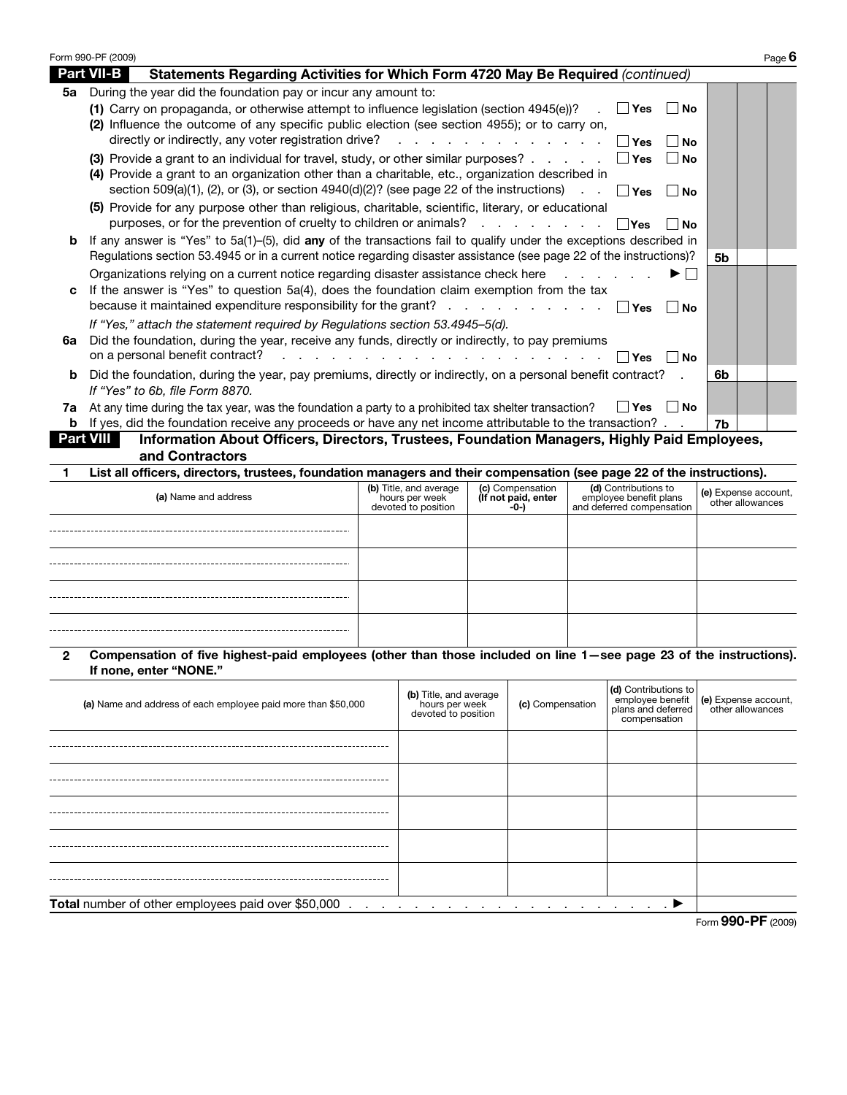|         | Form 990-PF (2009)                                                                                                                                                                                                                                                                                                                                                                                   |                                                                 |                                                 |                                                                             | Page $6$                                 |  |  |  |  |
|---------|------------------------------------------------------------------------------------------------------------------------------------------------------------------------------------------------------------------------------------------------------------------------------------------------------------------------------------------------------------------------------------------------------|-----------------------------------------------------------------|-------------------------------------------------|-----------------------------------------------------------------------------|------------------------------------------|--|--|--|--|
|         | <b>Part VII-B</b><br>Statements Regarding Activities for Which Form 4720 May Be Required (continued)                                                                                                                                                                                                                                                                                                 |                                                                 |                                                 |                                                                             |                                          |  |  |  |  |
| 5а      | During the year did the foundation pay or incur any amount to:<br>(1) Carry on propaganda, or otherwise attempt to influence legislation (section 4945(e))?<br>. I Yes I No<br>(2) Influence the outcome of any specific public election (see section 4955); or to carry on,<br>directly or indirectly, any voter registration drive?<br>المنافر والمنافر والمنافر والمنافر والمنافر<br>∣ ∣Yes<br>Nο |                                                                 |                                                 |                                                                             |                                          |  |  |  |  |
|         | (3) Provide a grant to an individual for travel, study, or other similar purposes?<br>∣ ∣Yes<br>l No<br>(4) Provide a grant to an organization other than a charitable, etc., organization described in<br>section 509(a)(1), (2), or (3), or section $4940(d)(2)$ ? (see page 22 of the instructions) .<br>∣ ∣ Yes<br>∣ ∣No                                                                         |                                                                 |                                                 |                                                                             |                                          |  |  |  |  |
|         | (5) Provide for any purpose other than religious, charitable, scientific, literary, or educational<br>purposes, or for the prevention of cruelty to children or animals?                                                                                                                                                                                                                             |                                                                 |                                                 | ∣ ∣Yes<br>l No                                                              |                                          |  |  |  |  |
| b       | If any answer is "Yes" to 5a(1)-(5), did any of the transactions fail to qualify under the exceptions described in<br>Regulations section 53.4945 or in a current notice regarding disaster assistance (see page 22 of the instructions)?                                                                                                                                                            |                                                                 |                                                 |                                                                             | 5b                                       |  |  |  |  |
| c       | Organizations relying on a current notice regarding disaster assistance check here<br>$\mathbf{L}$<br>If the answer is "Yes" to question 5a(4), does the foundation claim exemption from the tax<br>because it maintained expenditure responsibility for the grant?<br>∣ ∣Yes<br>∣No                                                                                                                 |                                                                 |                                                 |                                                                             |                                          |  |  |  |  |
| 6a      | If "Yes," attach the statement required by Regulations section 53.4945-5(d).<br>Did the foundation, during the year, receive any funds, directly or indirectly, to pay premiums<br>on a personal benefit contract?<br><b>Contract Contract</b>                                                                                                                                                       | the contract of the contract of the contract of                 |                                                 | $\mathsf{Yes}$<br>l No                                                      |                                          |  |  |  |  |
| b       | Did the foundation, during the year, pay premiums, directly or indirectly, on a personal benefit contract?<br>If "Yes" to 6b, file Form 8870.                                                                                                                                                                                                                                                        |                                                                 |                                                 |                                                                             | 6b                                       |  |  |  |  |
| 7a<br>b | At any time during the tax year, was the foundation a party to a prohibited tax shelter transaction?<br>If yes, did the foundation receive any proceeds or have any net income attributable to the transaction?                                                                                                                                                                                      |                                                                 |                                                 | $\Box$ Yes<br>l No                                                          | 7b                                       |  |  |  |  |
|         | Information About Officers, Directors, Trustees, Foundation Managers, Highly Paid Employees,<br><b>Part VIII</b><br>and Contractors                                                                                                                                                                                                                                                                  |                                                                 |                                                 |                                                                             |                                          |  |  |  |  |
|         | List all officers, directors, trustees, foundation managers and their compensation (see page 22 of the instructions).                                                                                                                                                                                                                                                                                |                                                                 |                                                 |                                                                             |                                          |  |  |  |  |
|         | (a) Name and address                                                                                                                                                                                                                                                                                                                                                                                 | (b) Title, and average<br>hours per week<br>devoted to position | (c) Compensation<br>(If not paid, enter<br>-0-) | (d) Contributions to<br>employee benefit plans<br>and deferred compensation | (e) Expense account,<br>other allowances |  |  |  |  |
|         |                                                                                                                                                                                                                                                                                                                                                                                                      |                                                                 |                                                 |                                                                             |                                          |  |  |  |  |
|         |                                                                                                                                                                                                                                                                                                                                                                                                      |                                                                 |                                                 |                                                                             |                                          |  |  |  |  |
|         |                                                                                                                                                                                                                                                                                                                                                                                                      |                                                                 |                                                 |                                                                             |                                          |  |  |  |  |

**2 Compensation of five highest-paid employees (other than those included on line 1—see page 23 of the instructions). If none, enter "NONE."**

| (a) Name and address of each employee paid more than \$50,000 | (b) Title, and average<br>hours per week<br>devoted to position | (c) Compensation | (d) Contributions to | employee benefit<br>plans and deferred<br>compensation<br>compensation |  |
|---------------------------------------------------------------|-----------------------------------------------------------------|------------------|----------------------|------------------------------------------------------------------------|--|
|                                                               |                                                                 |                  |                      |                                                                        |  |
|                                                               |                                                                 |                  |                      |                                                                        |  |
|                                                               |                                                                 |                  |                      |                                                                        |  |
|                                                               |                                                                 |                  |                      |                                                                        |  |
|                                                               |                                                                 |                  |                      |                                                                        |  |
|                                                               |                                                                 |                  |                      |                                                                        |  |
|                                                               |                                                                 |                  |                      |                                                                        |  |
| Form 990-PF (2009)                                            |                                                                 |                  |                      |                                                                        |  |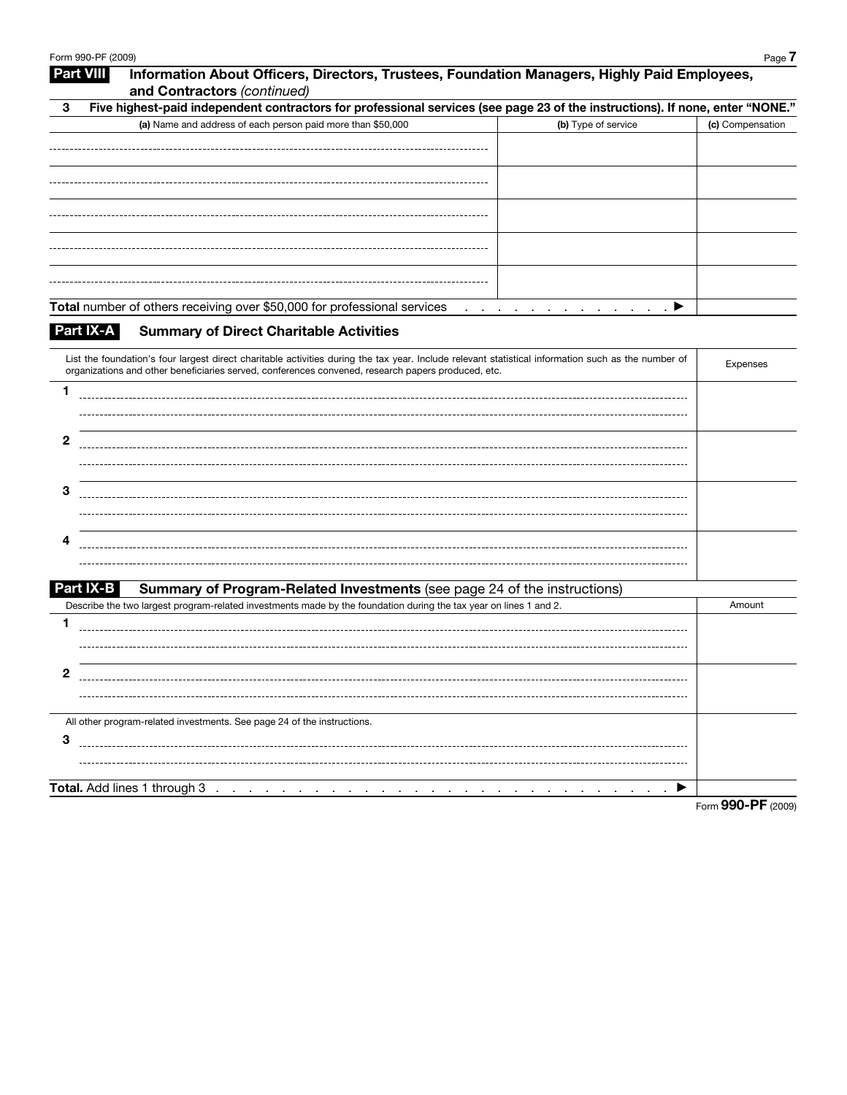|   | Form 990-PF (2009)                                                                                                                                                                                                | Page 7             |
|---|-------------------------------------------------------------------------------------------------------------------------------------------------------------------------------------------------------------------|--------------------|
|   | Information About Officers, Directors, Trustees, Foundation Managers, Highly Paid Employees,<br><b>Part VIII</b><br>and Contractors (continued)                                                                   |                    |
| 3 | Five highest-paid independent contractors for professional services (see page 23 of the instructions). If none, enter "NONE."                                                                                     |                    |
|   | (a) Name and address of each person paid more than \$50,000<br>(b) Type of service                                                                                                                                | (c) Compensation   |
|   |                                                                                                                                                                                                                   |                    |
|   |                                                                                                                                                                                                                   |                    |
|   |                                                                                                                                                                                                                   |                    |
|   |                                                                                                                                                                                                                   |                    |
|   |                                                                                                                                                                                                                   |                    |
|   |                                                                                                                                                                                                                   |                    |
|   |                                                                                                                                                                                                                   |                    |
|   |                                                                                                                                                                                                                   |                    |
|   |                                                                                                                                                                                                                   |                    |
|   | Total number of others receiving over \$50,000 for professional services ▶                                                                                                                                        |                    |
|   | Part IX-A<br><b>Summary of Direct Charitable Activities</b>                                                                                                                                                       |                    |
|   |                                                                                                                                                                                                                   |                    |
|   | List the foundation's four largest direct charitable activities during the tax year. Include relevant statistical information such as the number of                                                               | Expenses           |
|   | organizations and other beneficiaries served, conferences convened, research papers produced, etc.                                                                                                                |                    |
| 1 |                                                                                                                                                                                                                   |                    |
|   |                                                                                                                                                                                                                   |                    |
| 2 |                                                                                                                                                                                                                   |                    |
|   |                                                                                                                                                                                                                   |                    |
|   |                                                                                                                                                                                                                   |                    |
| 3 |                                                                                                                                                                                                                   |                    |
|   |                                                                                                                                                                                                                   |                    |
|   |                                                                                                                                                                                                                   |                    |
| 4 |                                                                                                                                                                                                                   |                    |
|   |                                                                                                                                                                                                                   |                    |
|   |                                                                                                                                                                                                                   |                    |
|   | Part IX-B<br><b>Summary of Program-Related Investments</b> (see page 24 of the instructions)<br>Describe the two largest program-related investments made by the foundation during the tax year on lines 1 and 2. | Amount             |
| 1 |                                                                                                                                                                                                                   |                    |
|   |                                                                                                                                                                                                                   |                    |
|   |                                                                                                                                                                                                                   |                    |
| 2 |                                                                                                                                                                                                                   |                    |
|   |                                                                                                                                                                                                                   |                    |
|   |                                                                                                                                                                                                                   |                    |
|   | All other program-related investments. See page 24 of the instructions.                                                                                                                                           |                    |
| 3 |                                                                                                                                                                                                                   |                    |
|   |                                                                                                                                                                                                                   |                    |
|   |                                                                                                                                                                                                                   |                    |
|   | $\sim$                                                                                                                                                                                                            |                    |
|   |                                                                                                                                                                                                                   | Form 990-PF (2009) |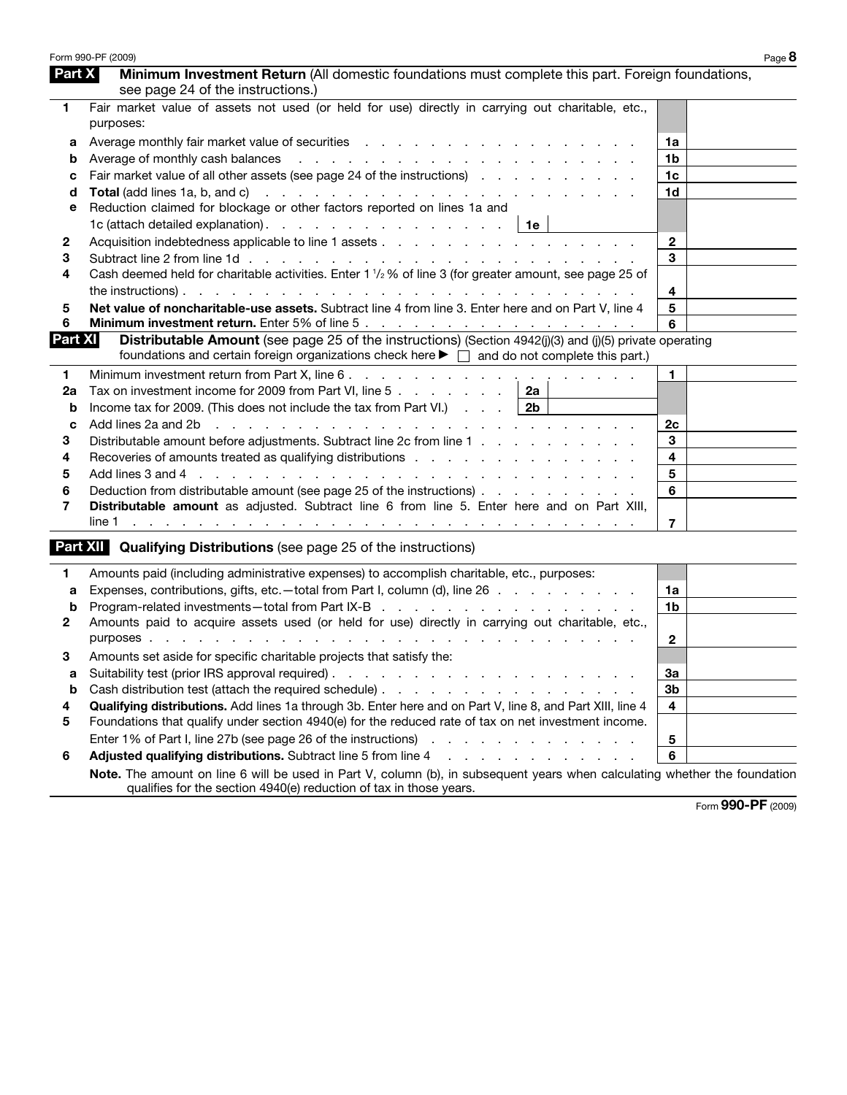|                | Form 990-PF (2009)                                                                                                                                                                                                                      |                         | Page 8 |
|----------------|-----------------------------------------------------------------------------------------------------------------------------------------------------------------------------------------------------------------------------------------|-------------------------|--------|
| Part X         | Minimum Investment Return (All domestic foundations must complete this part. Foreign foundations,<br>see page 24 of the instructions.)                                                                                                  |                         |        |
| 1              | Fair market value of assets not used (or held for use) directly in carrying out charitable, etc.,<br>purposes:                                                                                                                          |                         |        |
| а              |                                                                                                                                                                                                                                         | 1a                      |        |
| b              |                                                                                                                                                                                                                                         | 1b                      |        |
| с              | Fair market value of all other assets (see page 24 of the instructions)                                                                                                                                                                 | 1 <sub>c</sub>          |        |
| d              |                                                                                                                                                                                                                                         | 1d                      |        |
| е              | Reduction claimed for blockage or other factors reported on lines 1a and                                                                                                                                                                |                         |        |
|                | 1c (attach detailed explanation). $\ldots$ $\ldots$ $\ldots$ $\ldots$ $\ldots$ $\ldots$   1e                                                                                                                                            |                         |        |
| 2              |                                                                                                                                                                                                                                         | $\mathbf{2}$            |        |
| 3              |                                                                                                                                                                                                                                         | 3                       |        |
| 4              | Cash deemed held for charitable activities. Enter 1 1/2 % of line 3 (for greater amount, see page 25 of                                                                                                                                 |                         |        |
|                |                                                                                                                                                                                                                                         | 4                       |        |
| 5              | Net value of noncharitable-use assets. Subtract line 4 from line 3. Enter here and on Part V, line 4                                                                                                                                    | 5                       |        |
| 6              |                                                                                                                                                                                                                                         | 6                       |        |
| <b>Part XI</b> | Distributable Amount (see page 25 of the instructions) (Section 4942(j)(3) and (j)(5) private operating<br>foundations and certain foreign organizations check here $\blacktriangleright \Box$ and do not complete this part.)          |                         |        |
| 1              |                                                                                                                                                                                                                                         | $\mathbf{1}$            |        |
| 2a             | Tax on investment income for 2009 from Part VI, line 5 $\ldots$ $\ldots$ $\ldots$   2a                                                                                                                                                  |                         |        |
| b              | Income tax for 2009. (This does not include the tax from Part VI.) $\ldots$   2b                                                                                                                                                        |                         |        |
| c              | Add lines 2a and 2b<br>والمتعاون والمتعاون والمتعاون والمتعاونة والمتعاونة والمتعاونة والمتعاونة والمتعاونة والمتعاونة                                                                                                                  | 2c                      |        |
| 3              | Distributable amount before adjustments. Subtract line 2c from line 1                                                                                                                                                                   | 3                       |        |
| 4              | Recoveries of amounts treated as qualifying distributions enterstanded as $\sim$ . The state of a state of a state of $\sim$                                                                                                            | $\overline{\mathbf{4}}$ |        |
| 5              |                                                                                                                                                                                                                                         | 5                       |        |
| 6              | Deduction from distributable amount (see page 25 of the instructions)                                                                                                                                                                   | 6                       |        |
| 7              | Distributable amount as adjusted. Subtract line 6 from line 5. Enter here and on Part XIII,                                                                                                                                             |                         |        |
|                | line 1<br>and a construction of the construction of the construction of the construction of the construction of the construction of the construction of the construction of the construction of the construction of the construction of | $\overline{7}$          |        |
|                | <b>Part XII</b> Qualifying Distributions (see page 25 of the instructions)                                                                                                                                                              |                         |        |
| 1              | Amounts paid (including administrative expenses) to accomplish charitable, etc., purposes:                                                                                                                                              |                         |        |
| a              | Expenses, contributions, gifts, etc. - total from Part I, column (d), line 26                                                                                                                                                           | 1a                      |        |
| b              | Program-related investments-total from Part IX-B                                                                                                                                                                                        | 1b                      |        |
| $\mathbf{2}$   | Amounts paid to acquire assets used (or held for use) directly in carrying out charitable, etc.,                                                                                                                                        | $\mathbf{2}$            |        |
| 3.             | Amounts set aside for specific charitable projects that satisfy the:                                                                                                                                                                    |                         |        |
| a              |                                                                                                                                                                                                                                         | 3a                      |        |
| b              |                                                                                                                                                                                                                                         | 3b                      |        |
| 4              | Qualifying distributions. Add lines 1a through 3b. Enter here and on Part V, line 8, and Part XIII, line 4                                                                                                                              | 4                       |        |
| 5              | Foundations that qualify under section 4940(e) for the reduced rate of tax on net investment income.                                                                                                                                    |                         |        |
|                | Enter 1% of Part I, line 27b (see page 26 of the instructions)<br>the contract of the contract of the contract of                                                                                                                       | 5                       |        |
| 6              | Adjusted qualifying distributions. Subtract line 5 from line 4<br>.                                                                                                                                                                     | 6                       |        |
|                | Note. The amount on line 6 will be used in Part V, column (b), in subsequent years when calculating whether the foundation                                                                                                              |                         |        |
|                | qualifies for the section 4940(e) reduction of tax in those years.                                                                                                                                                                      |                         |        |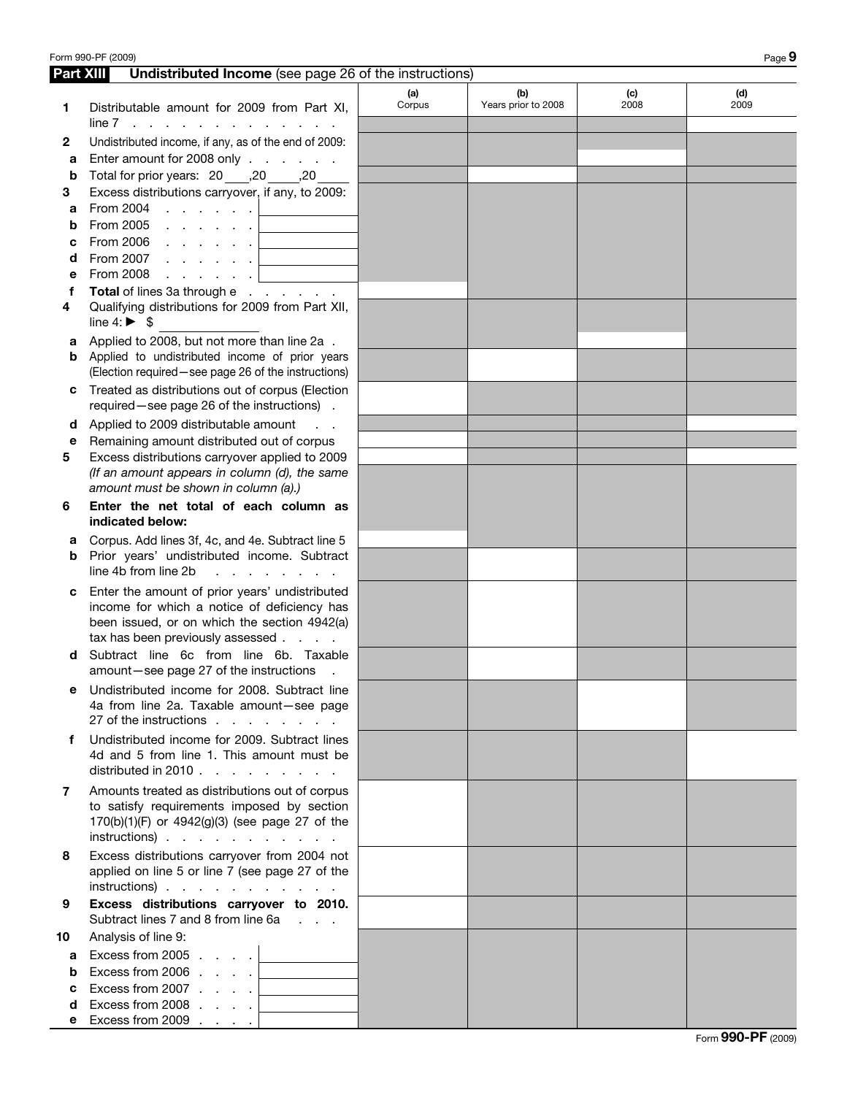|        | Form 990-PF (2009)                                                                                                                                                                |               |                            |             | Page 9      |
|--------|-----------------------------------------------------------------------------------------------------------------------------------------------------------------------------------|---------------|----------------------------|-------------|-------------|
|        | <b>Part XIII</b><br><b>Undistributed Income</b> (see page 26 of the instructions)                                                                                                 |               |                            |             |             |
| 1      | Distributable amount for 2009 from Part XI,<br>$line 7$ $\ldots$ $\ldots$ $\ldots$                                                                                                | (a)<br>Corpus | (b)<br>Years prior to 2008 | (c)<br>2008 | (d)<br>2009 |
| 2      | Undistributed income, if any, as of the end of 2009:                                                                                                                              |               |                            |             |             |
| а      | Enter amount for 2008 only                                                                                                                                                        |               |                            |             |             |
| b      | Total for prior years: 20 _____, 20 ______, 20                                                                                                                                    |               |                            |             |             |
| 3      | Excess distributions carryover, if any, to 2009:                                                                                                                                  |               |                            |             |             |
| a      | From 2004<br>and the contract of the state                                                                                                                                        |               |                            |             |             |
| b<br>С | From 2005<br>and the contract of the con-<br>From 2006 $\, \cdot \,$ $\, \cdot \,$ $\, \cdot \,$ $\, \cdot \,$ $\,$ $\,$ $\,$                                                     |               |                            |             |             |
| d      | and the control of the control of<br>From 2007<br>and the contract of the state                                                                                                   |               |                            |             |             |
| е      | From 2008<br>and a state of the state                                                                                                                                             |               |                            |             |             |
| f      | Total of lines 3a through e                                                                                                                                                       |               |                            |             |             |
| 4      | Qualifying distributions for 2009 from Part XII,<br>line 4: $\triangleright$ \$                                                                                                   |               |                            |             |             |
| а      | Applied to 2008, but not more than line 2a.                                                                                                                                       |               |                            |             |             |
| b      | Applied to undistributed income of prior years                                                                                                                                    |               |                            |             |             |
|        | (Election required - see page 26 of the instructions)<br>Treated as distributions out of corpus (Election                                                                         |               |                            |             |             |
|        | required-see page 26 of the instructions).                                                                                                                                        |               |                            |             |             |
| d      | Applied to 2009 distributable amount<br>$\mathcal{L}^{\text{max}}$                                                                                                                |               |                            |             |             |
| е<br>5 | Remaining amount distributed out of corpus<br>Excess distributions carryover applied to 2009                                                                                      |               |                            |             |             |
|        | (If an amount appears in column (d), the same                                                                                                                                     |               |                            |             |             |
|        | amount must be shown in column (a).)                                                                                                                                              |               |                            |             |             |
| 6      | Enter the net total of each column as<br>indicated below:                                                                                                                         |               |                            |             |             |
| а      | Corpus. Add lines 3f, 4c, and 4e. Subtract line 5                                                                                                                                 |               |                            |             |             |
| b      | Prior years' undistributed income. Subtract<br>line 4b from line 2b<br>$\mathcal{L} = \mathcal{L}$                                                                                |               |                            |             |             |
| с      | Enter the amount of prior years' undistributed<br>income for which a notice of deficiency has<br>been issued, or on which the section 4942(a)<br>tax has been previously assessed |               |                            |             |             |
| d      | Subtract line 6c from line 6b. Taxable<br>amount-see page 27 of the instructions                                                                                                  |               |                            |             |             |
| е      | Undistributed income for 2008. Subtract line<br>4a from line 2a. Taxable amount-see page<br>27 of the instructions                                                                |               |                            |             |             |
| f      | Undistributed income for 2009. Subtract lines<br>4d and 5 from line 1. This amount must be<br>distributed in 2010 $\ldots$ $\ldots$ $\ldots$ $\ldots$                             |               |                            |             |             |
| 7      | Amounts treated as distributions out of corpus<br>to satisfy requirements imposed by section<br>170(b)(1)(F) or 4942(g)(3) (see page 27 of the<br>$instructions)$                 |               |                            |             |             |
| 8      | Excess distributions carryover from 2004 not<br>applied on line 5 or line 7 (see page 27 of the<br>$instructions)$                                                                |               |                            |             |             |
| 9      | Excess distributions carryover to 2010.<br>Subtract lines 7 and 8 from line 6a                                                                                                    |               |                            |             |             |
| 10     | Analysis of line 9:                                                                                                                                                               |               |                            |             |             |
| a      | Excess from 2005 $\ldots$ $\ldots$                                                                                                                                                |               |                            |             |             |
| b      | Excess from 2006 $\ldots$ $\ldots$                                                                                                                                                |               |                            |             |             |
| С      | Excess from 2007 $\ldots$ $\ldots$                                                                                                                                                |               |                            |             |             |
| d<br>е | Excess from 2008 $\ldots$ $\Box$<br>Excess from 2009 $\ldots$ .                                                                                                                   |               |                            |             |             |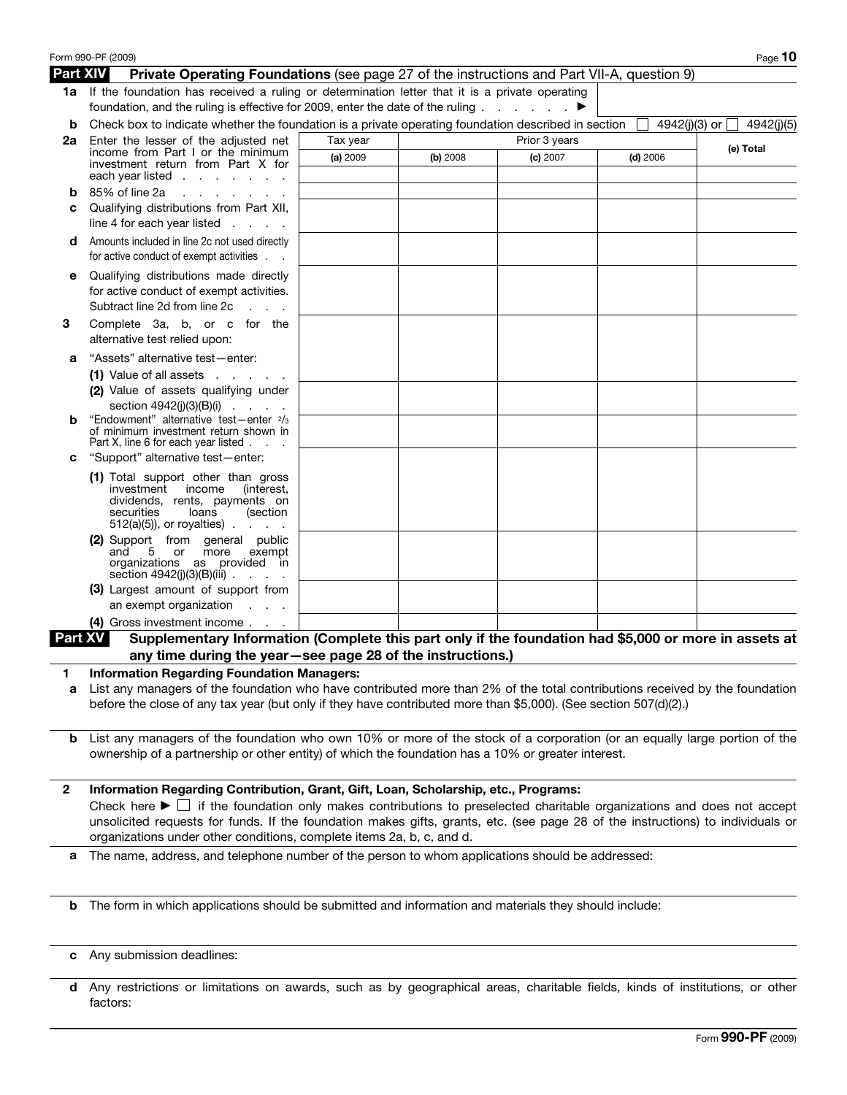|                 | Form 990-PF (2009)                                                                                                                                                                                                                                                                                                                                                                                                                              |          |          |               |            | Page $10$                       |
|-----------------|-------------------------------------------------------------------------------------------------------------------------------------------------------------------------------------------------------------------------------------------------------------------------------------------------------------------------------------------------------------------------------------------------------------------------------------------------|----------|----------|---------------|------------|---------------------------------|
| <b>Part XIV</b> | Private Operating Foundations (see page 27 of the instructions and Part VII-A, question 9)                                                                                                                                                                                                                                                                                                                                                      |          |          |               |            |                                 |
|                 | 1a If the foundation has received a ruling or determination letter that it is a private operating                                                                                                                                                                                                                                                                                                                                               |          |          |               |            |                                 |
|                 | foundation, and the ruling is effective for 2009, enter the date of the ruling ▶                                                                                                                                                                                                                                                                                                                                                                |          |          |               |            |                                 |
| b               | Check box to indicate whether the foundation is a private operating foundation described in section                                                                                                                                                                                                                                                                                                                                             |          |          |               |            | 4942(j)(3) or $\Box$ 4942(j)(5) |
| 2a              | Enter the lesser of the adjusted net<br>income from Part I or the minimum                                                                                                                                                                                                                                                                                                                                                                       | Tax year |          | Prior 3 years |            | (e) Total                       |
|                 | investment return from Part X for                                                                                                                                                                                                                                                                                                                                                                                                               | (a) 2009 | (b) 2008 | (c) 2007      | $(d)$ 2006 |                                 |
|                 | each year listed $\ldots$ $\ldots$ $\ldots$                                                                                                                                                                                                                                                                                                                                                                                                     |          |          |               |            |                                 |
| b               | 85% of line 2a<br>and a state of the state of the state of                                                                                                                                                                                                                                                                                                                                                                                      |          |          |               |            |                                 |
| c               | Qualifying distributions from Part XII,<br>line 4 for each year listed $\ldots$ .                                                                                                                                                                                                                                                                                                                                                               |          |          |               |            |                                 |
| d               | Amounts included in line 2c not used directly<br>for active conduct of exempt activities                                                                                                                                                                                                                                                                                                                                                        |          |          |               |            |                                 |
| е               | Qualifying distributions made directly<br>for active conduct of exempt activities.<br>Subtract line 2d from line 2c<br>$\mathcal{L}^{\text{max}}$ and $\mathcal{L}^{\text{max}}$                                                                                                                                                                                                                                                                |          |          |               |            |                                 |
| З               | Complete 3a, b, or c for the<br>alternative test relied upon:                                                                                                                                                                                                                                                                                                                                                                                   |          |          |               |            |                                 |
| а               | "Assets" alternative test-enter:                                                                                                                                                                                                                                                                                                                                                                                                                |          |          |               |            |                                 |
|                 | $(1)$ Value of all assets $\ldots$ $\ldots$                                                                                                                                                                                                                                                                                                                                                                                                     |          |          |               |            |                                 |
|                 | (2) Value of assets qualifying under                                                                                                                                                                                                                                                                                                                                                                                                            |          |          |               |            |                                 |
|                 | section 4942(j)(3)(B)(i)                                                                                                                                                                                                                                                                                                                                                                                                                        |          |          |               |            |                                 |
| b               | "Endowment" alternative test-enter 2/3<br>of minimum investment return shown in<br>Part X, line 6 for each year listed $\ldots$ .                                                                                                                                                                                                                                                                                                               |          |          |               |            |                                 |
| с               | "Support" alternative test-enter:                                                                                                                                                                                                                                                                                                                                                                                                               |          |          |               |            |                                 |
|                 | (1) Total support other than gross<br>investment income<br>(interest,<br>dividends, rents, payments on<br>securities<br>loans<br>(section<br>$512(a)(5)$ , or royalties)                                                                                                                                                                                                                                                                        |          |          |               |            |                                 |
|                 | (2) Support from general public<br>5 or<br>more<br>exempt<br>and<br>organizations as provided in<br>section 4942(j)(3)(B)(iii)                                                                                                                                                                                                                                                                                                                  |          |          |               |            |                                 |
|                 | (3) Largest amount of support from                                                                                                                                                                                                                                                                                                                                                                                                              |          |          |               |            |                                 |
|                 | an exempt organization<br><b>Service</b> State                                                                                                                                                                                                                                                                                                                                                                                                  |          |          |               |            |                                 |
|                 | (4) Gross investment income                                                                                                                                                                                                                                                                                                                                                                                                                     |          |          |               |            |                                 |
| <b>Part XV</b>  | Supplementary Information (Complete this part only if the foundation had \$5,000 or more in assets at<br>any time during the year-see page 28 of the instructions.)                                                                                                                                                                                                                                                                             |          |          |               |            |                                 |
| 1.              | <b>Information Regarding Foundation Managers:</b>                                                                                                                                                                                                                                                                                                                                                                                               |          |          |               |            |                                 |
| а               | List any managers of the foundation who have contributed more than 2% of the total contributions received by the foundation                                                                                                                                                                                                                                                                                                                     |          |          |               |            |                                 |
|                 | before the close of any tax year (but only if they have contributed more than \$5,000). (See section 507(d)(2).)                                                                                                                                                                                                                                                                                                                                |          |          |               |            |                                 |
|                 |                                                                                                                                                                                                                                                                                                                                                                                                                                                 |          |          |               |            |                                 |
| b               | List any managers of the foundation who own 10% or more of the stock of a corporation (or an equally large portion of the                                                                                                                                                                                                                                                                                                                       |          |          |               |            |                                 |
|                 | ownership of a partnership or other entity) of which the foundation has a 10% or greater interest.                                                                                                                                                                                                                                                                                                                                              |          |          |               |            |                                 |
| $\mathbf{2}$    | Information Regarding Contribution, Grant, Gift, Loan, Scholarship, etc., Programs:<br>Check here $\blacktriangleright \Box$ if the foundation only makes contributions to preselected charitable organizations and does not accept<br>unsolicited requests for funds. If the foundation makes gifts, grants, etc. (see page 28 of the instructions) to individuals or<br>organizations under other conditions, complete items 2a, b, c, and d. |          |          |               |            |                                 |
| а               | The name, address, and telephone number of the person to whom applications should be addressed:                                                                                                                                                                                                                                                                                                                                                 |          |          |               |            |                                 |
| b               | The form in which applications should be submitted and information and materials they should include:                                                                                                                                                                                                                                                                                                                                           |          |          |               |            |                                 |
|                 |                                                                                                                                                                                                                                                                                                                                                                                                                                                 |          |          |               |            |                                 |

**c** Any submission deadlines:

**d** Any restrictions or limitations on awards, such as by geographical areas, charitable fields, kinds of institutions, or other factors: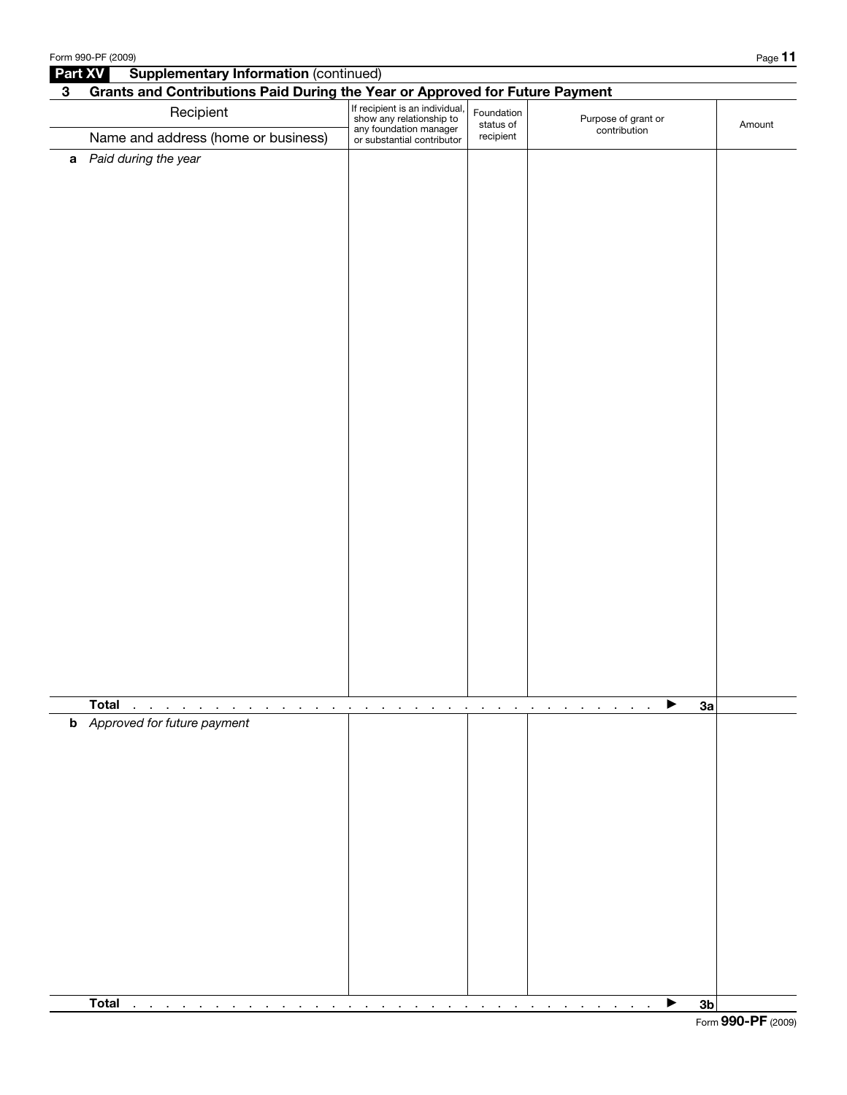|              | Form 990-PF (2009)                                                           |                                                                                                                    |                         |                                     | Page 11        |
|--------------|------------------------------------------------------------------------------|--------------------------------------------------------------------------------------------------------------------|-------------------------|-------------------------------------|----------------|
| Part XV      | <b>Supplementary Information (continued)</b>                                 |                                                                                                                    |                         |                                     |                |
| $\mathbf{3}$ | Grants and Contributions Paid During the Year or Approved for Future Payment |                                                                                                                    |                         |                                     |                |
|              | Recipient                                                                    | If recipient is an individual,<br>show any relationship to<br>any foundation manager<br>or substantial contributor | Foundation<br>status of | Purpose of grant or<br>contribution | Amount         |
|              | Name and address (home or business)                                          |                                                                                                                    | recipient               |                                     |                |
|              | a Paid during the year                                                       |                                                                                                                    |                         |                                     |                |
|              |                                                                              |                                                                                                                    |                         |                                     |                |
|              | <b>Total</b><br>$\cdot$                                                      |                                                                                                                    | $\cdot$<br>$\cdot$      | ▶                                   | 3a             |
|              | <b>b</b> Approved for future payment                                         |                                                                                                                    |                         |                                     |                |
|              | Total<br>$\sim$<br>$\sim$<br>$\sim$<br>$\sim$<br>$\overline{\phantom{a}}$    | $\blacksquare$                                                                                                     |                         | ▶                                   | 3 <sub>b</sub> |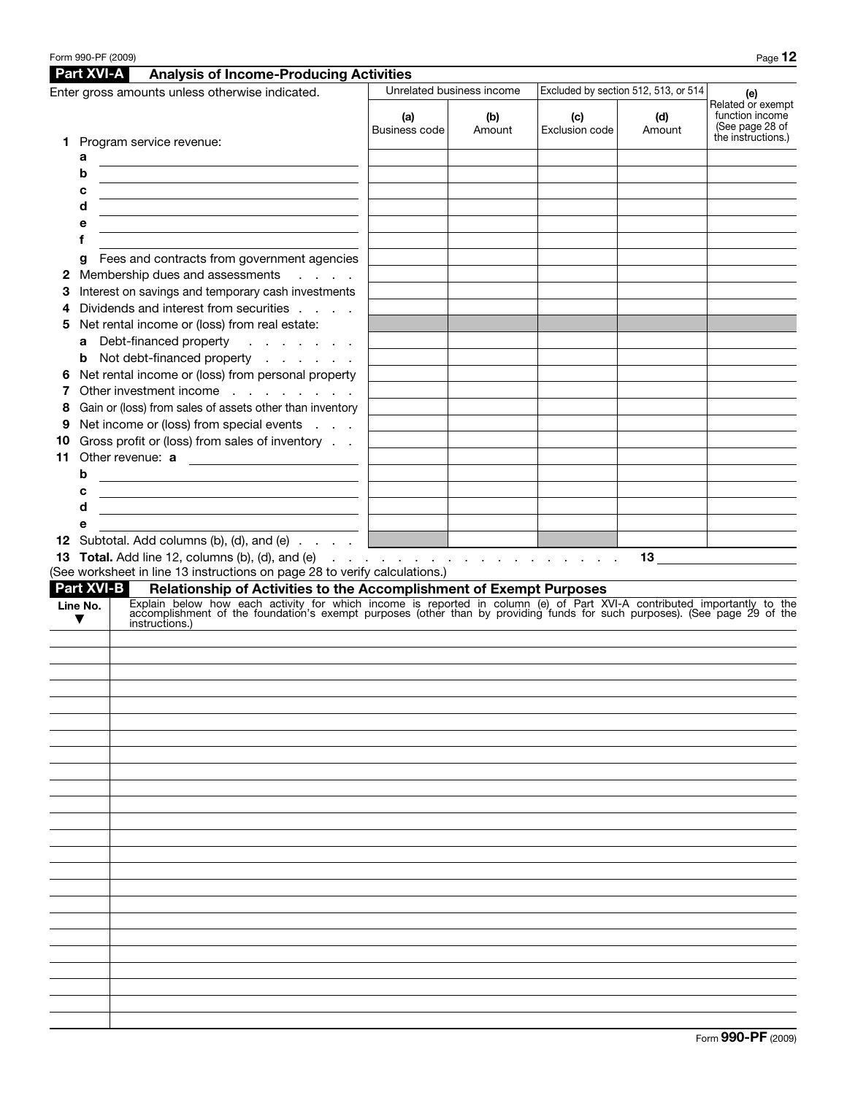|                                                   |                                      | Form 990-PF (2009)                                                                                                                                                                                                                                                                                                                                                                                                                                                                                                                                                                                                                                                                                                                                                                                                             |                                                                                                                                                                                                                                                                                                                            |                           |                                      |               | Page 12                                                 |  |  |  |
|---------------------------------------------------|--------------------------------------|--------------------------------------------------------------------------------------------------------------------------------------------------------------------------------------------------------------------------------------------------------------------------------------------------------------------------------------------------------------------------------------------------------------------------------------------------------------------------------------------------------------------------------------------------------------------------------------------------------------------------------------------------------------------------------------------------------------------------------------------------------------------------------------------------------------------------------|----------------------------------------------------------------------------------------------------------------------------------------------------------------------------------------------------------------------------------------------------------------------------------------------------------------------------|---------------------------|--------------------------------------|---------------|---------------------------------------------------------|--|--|--|
|                                                   | <b>Part XVI-A</b>                    | <b>Analysis of Income-Producing Activities</b>                                                                                                                                                                                                                                                                                                                                                                                                                                                                                                                                                                                                                                                                                                                                                                                 |                                                                                                                                                                                                                                                                                                                            |                           |                                      |               |                                                         |  |  |  |
| Enter gross amounts unless otherwise indicated.   |                                      |                                                                                                                                                                                                                                                                                                                                                                                                                                                                                                                                                                                                                                                                                                                                                                                                                                |                                                                                                                                                                                                                                                                                                                            | Unrelated business income | Excluded by section 512, 513, or 514 | (e)           |                                                         |  |  |  |
|                                                   |                                      |                                                                                                                                                                                                                                                                                                                                                                                                                                                                                                                                                                                                                                                                                                                                                                                                                                | (a)<br>Business code                                                                                                                                                                                                                                                                                                       | (b)<br>Amount             | (c)<br>Exclusion code                | (d)<br>Amount | Related or exempt<br>function income<br>(See page 28 of |  |  |  |
| 1.<br>2<br>З<br>4<br>5<br>6<br>8<br>9<br>10<br>11 | а<br>b<br>с<br>d<br>е<br>f<br>g<br>b | Program service revenue:<br>Fees and contracts from government agencies<br>Membership dues and assessments<br>$\mathcal{L}=\mathcal{L}=\mathcal{L}=\mathcal{L}$<br>Interest on savings and temporary cash investments<br>Dividends and interest from securities<br>Net rental income or (loss) from real estate:<br>a Debt-financed property<br>$\mathcal{A}$ , we can be a set of $\mathcal{A}$<br><b>b</b> Not debt-financed property<br>Net rental income or (loss) from personal property<br>Other investment income<br>Gain or (loss) from sales of assets other than inventory<br>Net income or (loss) from special events<br>Gross profit or (loss) from sales of inventory<br>Other revenue: a<br><u> 1989 - Johann Stein, marwolaethau a bhann an t-Amhair an t-Amhair an t-Amhair an t-Amhair an t-Amhair an t-A</u> |                                                                                                                                                                                                                                                                                                                            |                           |                                      |               | the instructions.)                                      |  |  |  |
|                                                   | с<br>d<br>е<br>Line No.<br>▼         | <u> 1989 - Johann Barn, mars and de Brasilian (b. 1989)</u><br><u> 1989 - Johann Barn, mars ann an t-Amhain ann an t-Amhain an t-Amhain an t-Amhain an t-Amhain an t-Amhain an t-</u><br>12 Subtotal. Add columns (b), (d), and (e)  <br><b>13 Total.</b> Add line 12, columns (b), (d), and (e) $\ldots$ $\ldots$ $\ldots$ $\ldots$ $\ldots$ $\ldots$ $\ldots$<br>(See worksheet in line 13 instructions on page 28 to verify calculations.)<br><b>Part XVI-B</b><br>instructions.)                                                                                                                                                                                                                                                                                                                                           | 13 $\qquad \qquad$<br>Relationship of Activities to the Accomplishment of Exempt Purposes<br>Explain below how each activity for which income is reported in column (e) of Part XVI-A contributed importantly to the accomplishment of the foundation's exempt purposes (other than by providing funds for such purposes). |                           |                                      |               |                                                         |  |  |  |
|                                                   |                                      |                                                                                                                                                                                                                                                                                                                                                                                                                                                                                                                                                                                                                                                                                                                                                                                                                                |                                                                                                                                                                                                                                                                                                                            |                           |                                      |               |                                                         |  |  |  |
|                                                   |                                      |                                                                                                                                                                                                                                                                                                                                                                                                                                                                                                                                                                                                                                                                                                                                                                                                                                |                                                                                                                                                                                                                                                                                                                            |                           |                                      |               |                                                         |  |  |  |